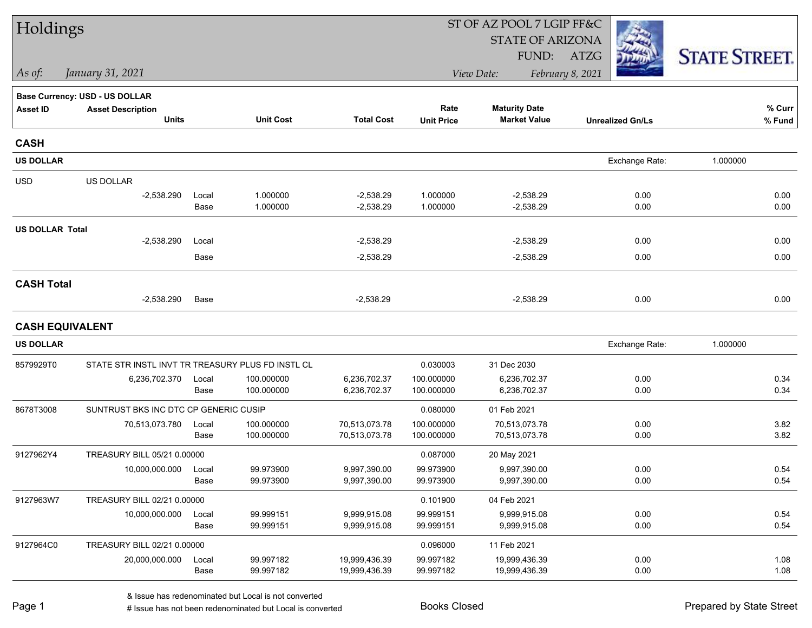| Holdings               |                                                   |               |                        |                                | ST OF AZ POOL 7 LGIP FF&C |                                |                         |                      |  |  |
|------------------------|---------------------------------------------------|---------------|------------------------|--------------------------------|---------------------------|--------------------------------|-------------------------|----------------------|--|--|
|                        |                                                   |               |                        |                                |                           | <b>STATE OF ARIZONA</b>        |                         |                      |  |  |
|                        |                                                   |               |                        |                                |                           | FUND:                          | ATZG                    | <b>STATE STREET.</b> |  |  |
| As of:                 | January 31, 2021                                  |               |                        |                                |                           | View Date:                     | February 8, 2021        |                      |  |  |
|                        | Base Currency: USD - US DOLLAR                    |               |                        |                                |                           |                                |                         |                      |  |  |
| <b>Asset ID</b>        | <b>Asset Description</b>                          |               |                        |                                | Rate                      | <b>Maturity Date</b>           |                         | % Curr               |  |  |
|                        | <b>Units</b>                                      |               | <b>Unit Cost</b>       | <b>Total Cost</b>              | <b>Unit Price</b>         | <b>Market Value</b>            | <b>Unrealized Gn/Ls</b> | % Fund               |  |  |
| <b>CASH</b>            |                                                   |               |                        |                                |                           |                                |                         |                      |  |  |
| <b>US DOLLAR</b>       |                                                   |               |                        |                                |                           |                                | Exchange Rate:          | 1.000000             |  |  |
| <b>USD</b>             | US DOLLAR                                         |               |                        |                                |                           |                                |                         |                      |  |  |
|                        | $-2,538.290$                                      | Local         | 1.000000               | $-2,538.29$                    | 1.000000                  | $-2,538.29$                    | 0.00                    | 0.00                 |  |  |
|                        |                                                   | Base          | 1.000000               | $-2,538.29$                    | 1.000000                  | $-2,538.29$                    | 0.00                    | 0.00                 |  |  |
| <b>US DOLLAR Total</b> |                                                   |               |                        |                                |                           |                                |                         |                      |  |  |
|                        | $-2,538.290$                                      | Local         |                        | $-2,538.29$                    |                           | $-2,538.29$                    | 0.00                    | 0.00                 |  |  |
|                        |                                                   | Base          |                        | $-2,538.29$                    |                           | $-2,538.29$                    | 0.00                    | 0.00                 |  |  |
| <b>CASH Total</b>      |                                                   |               |                        |                                |                           |                                |                         |                      |  |  |
|                        | $-2,538.290$                                      | Base          |                        | $-2,538.29$                    |                           | $-2,538.29$                    | 0.00                    | 0.00                 |  |  |
| <b>CASH EQUIVALENT</b> |                                                   |               |                        |                                |                           |                                |                         |                      |  |  |
| <b>US DOLLAR</b>       |                                                   |               |                        |                                |                           |                                | Exchange Rate:          | 1.000000             |  |  |
| 8579929T0              | STATE STR INSTL INVT TR TREASURY PLUS FD INSTL CL |               |                        |                                | 0.030003                  | 31 Dec 2030                    |                         |                      |  |  |
|                        | 6,236,702.370                                     | Local         | 100.000000             | 6,236,702.37                   | 100.000000                | 6,236,702.37                   | 0.00                    | 0.34                 |  |  |
|                        |                                                   | Base          | 100.000000             | 6,236,702.37                   | 100.000000                | 6,236,702.37                   | 0.00                    | 0.34                 |  |  |
| 8678T3008              | SUNTRUST BKS INC DTC CP GENERIC CUSIP             |               |                        |                                | 0.080000                  | 01 Feb 2021                    |                         |                      |  |  |
|                        | 70,513,073.780                                    | Local         | 100.000000             | 70,513,073.78                  | 100.000000                | 70,513,073.78                  | 0.00                    | 3.82                 |  |  |
|                        |                                                   | Base          | 100.000000             | 70,513,073.78                  | 100.000000                | 70,513,073.78                  | 0.00                    | 3.82                 |  |  |
| 9127962Y4              | TREASURY BILL 05/21 0.00000                       |               |                        |                                | 0.087000                  | 20 May 2021                    |                         |                      |  |  |
|                        | 10,000,000.000                                    | Local         | 99.973900              | 9,997,390.00                   | 99.973900                 | 9,997,390.00                   | 0.00                    | 0.54                 |  |  |
|                        |                                                   | Base          | 99.973900              | 9,997,390.00                   | 99.973900                 | 9,997,390.00                   | 0.00                    | 0.54                 |  |  |
| 9127963W7              | TREASURY BILL 02/21 0.00000                       |               |                        |                                | 0.101900                  | 04 Feb 2021                    |                         |                      |  |  |
|                        | 10,000,000.000                                    | Local<br>Base | 99.999151<br>99.999151 | 9,999,915.08<br>9,999,915.08   | 99.999151<br>99.999151    | 9,999,915.08<br>9,999,915.08   | 0.00<br>0.00            | 0.54<br>0.54         |  |  |
|                        |                                                   |               |                        |                                |                           |                                |                         |                      |  |  |
| 9127964C0              | TREASURY BILL 02/21 0.00000                       |               |                        |                                | 0.096000                  | 11 Feb 2021                    |                         |                      |  |  |
|                        | 20,000,000.000                                    | Local<br>Base | 99.997182<br>99.997182 | 19,999,436.39<br>19,999,436.39 | 99.997182<br>99.997182    | 19,999,436.39<br>19,999,436.39 | 0.00<br>0.00            | 1.08<br>1.08         |  |  |
|                        |                                                   |               |                        |                                |                           |                                |                         |                      |  |  |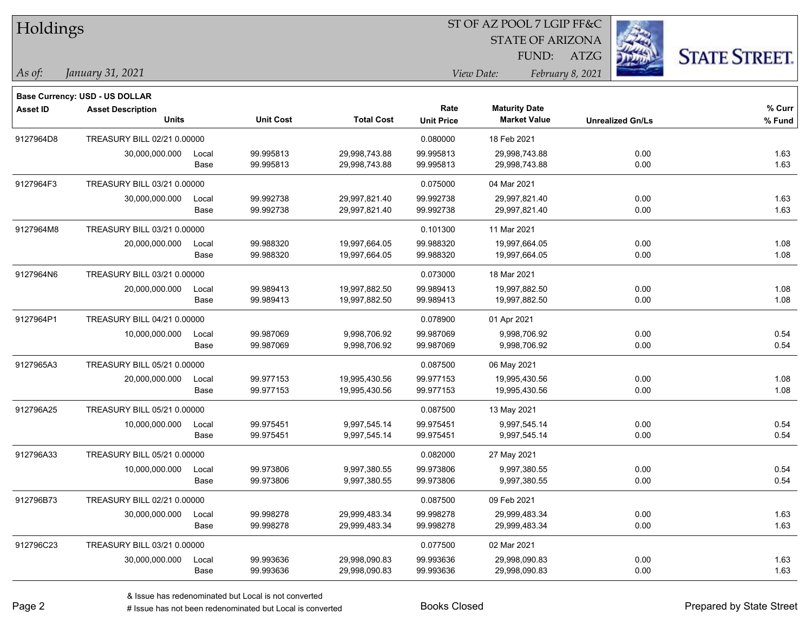| Holdings        |                                   |       |                  | ST OF AZ POOL 7 LGIP FF&C |                           |                                             |                         |                      |  |
|-----------------|-----------------------------------|-------|------------------|---------------------------|---------------------------|---------------------------------------------|-------------------------|----------------------|--|
|                 |                                   |       |                  |                           |                           | <b>STATE OF ARIZONA</b>                     |                         |                      |  |
|                 |                                   |       |                  |                           |                           | FUND:                                       | <b>ATZG</b>             | <b>STATE STREET.</b> |  |
| As of:          | January 31, 2021                  |       |                  |                           |                           | View Date:                                  | February 8, 2021        |                      |  |
|                 |                                   |       |                  |                           |                           |                                             |                         |                      |  |
|                 | Base Currency: USD - US DOLLAR    |       |                  |                           |                           |                                             |                         |                      |  |
| <b>Asset ID</b> | <b>Asset Description</b><br>Units |       | <b>Unit Cost</b> | <b>Total Cost</b>         | Rate<br><b>Unit Price</b> | <b>Maturity Date</b><br><b>Market Value</b> | <b>Unrealized Gn/Ls</b> | % Curr<br>$%$ Fund   |  |
|                 | TREASURY BILL 02/21 0.00000       |       |                  |                           |                           |                                             |                         |                      |  |
| 9127964D8       | 30,000,000.000                    | Local | 99.995813        | 29,998,743.88             | 0.080000<br>99.995813     | 18 Feb 2021<br>29,998,743.88                | 0.00                    | 1.63                 |  |
|                 |                                   | Base  | 99.995813        | 29,998,743.88             | 99.995813                 | 29,998,743.88                               | 0.00                    | 1.63                 |  |
| 9127964F3       | TREASURY BILL 03/21 0.00000       |       |                  |                           | 0.075000                  | 04 Mar 2021                                 |                         |                      |  |
|                 | 30,000,000.000                    | Local | 99.992738        | 29,997,821.40             | 99.992738                 | 29,997,821.40                               | 0.00                    | 1.63                 |  |
|                 |                                   | Base  | 99.992738        | 29,997,821.40             | 99.992738                 | 29,997,821.40                               | 0.00                    | 1.63                 |  |
| 9127964M8       | TREASURY BILL 03/21 0.00000       |       |                  |                           | 0.101300                  | 11 Mar 2021                                 |                         |                      |  |
|                 | 20,000,000.000                    | Local | 99.988320        | 19,997,664.05             | 99.988320                 | 19,997,664.05                               | 0.00                    | 1.08                 |  |
|                 |                                   | Base  | 99.988320        | 19,997,664.05             | 99.988320                 | 19,997,664.05                               | 0.00                    | 1.08                 |  |
| 9127964N6       | TREASURY BILL 03/21 0.00000       |       |                  |                           | 0.073000                  | 18 Mar 2021                                 |                         |                      |  |
|                 | 20,000,000.000                    | Local | 99.989413        | 19,997,882.50             | 99.989413                 | 19,997,882.50                               | 0.00                    | 1.08                 |  |
|                 |                                   | Base  | 99.989413        | 19,997,882.50             | 99.989413                 | 19,997,882.50                               | 0.00                    | 1.08                 |  |
| 9127964P1       | TREASURY BILL 04/21 0.00000       |       |                  |                           | 0.078900                  | 01 Apr 2021                                 |                         |                      |  |
|                 | 10,000,000.000                    | Local | 99.987069        | 9,998,706.92              | 99.987069                 | 9,998,706.92                                | 0.00                    | 0.54                 |  |
|                 |                                   | Base  | 99.987069        | 9,998,706.92              | 99.987069                 | 9,998,706.92                                | 0.00                    | 0.54                 |  |
| 9127965A3       | TREASURY BILL 05/21 0.00000       |       |                  |                           | 0.087500                  | 06 May 2021                                 |                         |                      |  |
|                 | 20,000,000.000                    | Local | 99.977153        | 19,995,430.56             | 99.977153                 | 19,995,430.56                               | 0.00                    | 1.08                 |  |
|                 |                                   | Base  | 99.977153        | 19,995,430.56             | 99.977153                 | 19,995,430.56                               | 0.00                    | 1.08                 |  |
| 912796A25       | TREASURY BILL 05/21 0.00000       |       |                  |                           | 0.087500                  | 13 May 2021                                 |                         |                      |  |
|                 | 10,000,000.000                    | Local | 99.975451        | 9,997,545.14              | 99.975451                 | 9,997,545.14                                | 0.00                    | 0.54                 |  |
|                 |                                   | Base  | 99.975451        | 9,997,545.14              | 99.975451                 | 9,997,545.14                                | 0.00                    | 0.54                 |  |
| 912796A33       | TREASURY BILL 05/21 0.00000       |       |                  |                           | 0.082000                  | 27 May 2021                                 |                         |                      |  |
|                 | 10,000,000.000                    | Local | 99.973806        | 9,997,380.55              | 99.973806                 | 9,997,380.55                                | 0.00                    | 0.54                 |  |
|                 |                                   | Base  | 99.973806        | 9,997,380.55              | 99.973806                 | 9,997,380.55                                | 0.00                    | 0.54                 |  |
| 912796B73       | TREASURY BILL 02/21 0.00000       |       |                  |                           | 0.087500                  | 09 Feb 2021                                 |                         |                      |  |
|                 | 30,000,000.000                    | Local | 99.998278        | 29,999,483.34             | 99.998278                 | 29,999,483.34                               | 0.00                    | 1.63                 |  |
|                 |                                   | Base  | 99.998278        | 29,999,483.34             | 99.998278                 | 29,999,483.34                               | 0.00                    | 1.63                 |  |
| 912796C23       | TREASURY BILL 03/21 0.00000       |       |                  |                           | 0.077500                  | 02 Mar 2021                                 |                         |                      |  |
|                 | 30,000,000.000                    | Local | 99.993636        | 29,998,090.83             | 99.993636                 | 29,998,090.83                               | 0.00                    | 1.63                 |  |
|                 |                                   | Base  | 99.993636        | 29,998,090.83             | 99.993636                 | 29,998,090.83                               | 0.00                    | 1.63                 |  |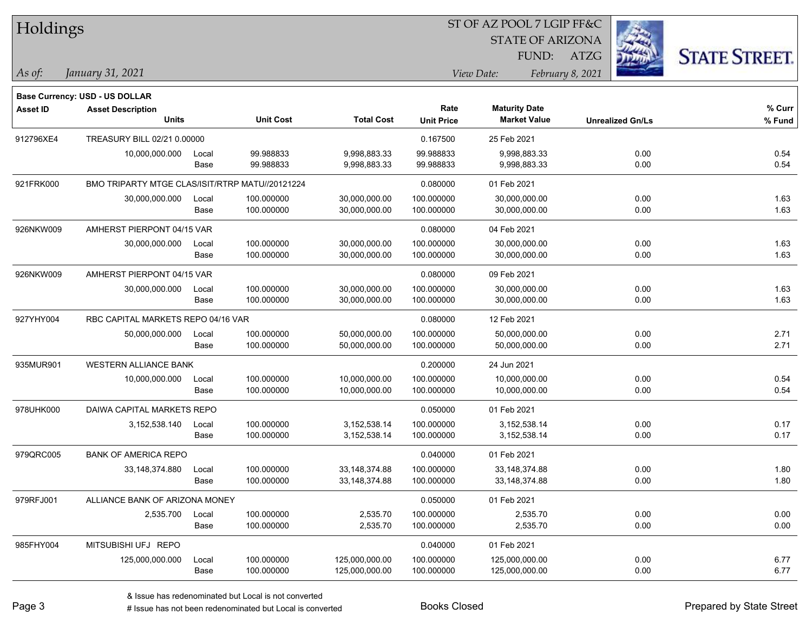| Ż.<br><b>STATE OF ARIZONA</b><br><b>STATE STREET.</b><br>FUND:<br>ATZG<br>January 31, 2021<br>View Date:<br>February 8, 2021<br>As of:<br><b>Base Currency: USD - US DOLLAR</b><br>$%$ Curr<br><b>Maturity Date</b><br>Rate<br><b>Asset ID</b><br><b>Asset Description</b><br><b>Units</b><br><b>Total Cost</b><br><b>Unit Cost</b><br><b>Market Value</b><br>% Fund<br><b>Unit Price</b><br><b>Unrealized Gn/Ls</b><br>TREASURY BILL 02/21 0.00000<br>0.167500<br>25 Feb 2021<br>99.988833<br>10,000,000.000<br>99.988833<br>9,998,883.33<br>9,998,883.33<br>0.00<br>0.54<br>Local<br>99.988833<br>0.54<br>Base<br>9,998,883.33<br>99.988833<br>9,998,883.33<br>0.00<br>BMO TRIPARTY MTGE CLAS/ISIT/RTRP MATU//20121224<br>0.080000<br>01 Feb 2021<br>100.000000<br>0.00<br>1.63<br>30,000,000.000<br>100.000000<br>30,000,000.00<br>30,000,000.00<br>Local<br>1.63<br>100.000000<br>30,000,000.00<br>100.000000<br>30,000,000.00<br>0.00<br>Base<br>AMHERST PIERPONT 04/15 VAR<br>0.080000<br>04 Feb 2021<br>100.000000<br>30,000,000.00<br>0.00<br>1.63<br>30,000,000.000<br>30,000,000.00<br>100.000000<br>Local<br>1.63<br>Base<br>100.000000<br>0.00<br>100.000000<br>30,000,000.00<br>30,000,000.00<br>AMHERST PIERPONT 04/15 VAR<br>0.080000<br>09 Feb 2021<br>1.63<br>30,000,000.000<br>100.000000<br>30,000,000.00<br>100.000000<br>30,000,000.00<br>0.00<br>Local<br>1.63<br>Base<br>100.000000<br>30,000,000.00<br>100.000000<br>30,000,000.00<br>0.00<br>RBC CAPITAL MARKETS REPO 04/16 VAR<br>0.080000<br>12 Feb 2021<br>0.00<br>2.71<br>50,000,000.000<br>100.000000<br>50,000,000.00<br>100.000000<br>50,000,000.00<br>Local<br>2.71<br>100.000000<br>100.000000<br>50,000,000.00<br>0.00<br>Base<br>50,000,000.00<br><b>WESTERN ALLIANCE BANK</b><br>0.200000<br>24 Jun 2021<br>100.000000<br>10,000,000.00<br>0.00<br>0.54<br>10,000,000.000<br>Local<br>10,000,000.00<br>100.000000<br>0.54<br>Base<br>100.000000<br>10,000,000.00<br>0.00<br>100.000000<br>10,000,000.00<br>DAIWA CAPITAL MARKETS REPO<br>0.050000<br>01 Feb 2021<br>0.17<br>3,152,538.140<br>100.000000<br>3,152,538.14<br>100.000000<br>3,152,538.14<br>0.00<br>Local<br>0.17<br>Base<br>100.000000<br>3, 152, 538. 14<br>100.000000<br>3,152,538.14<br>0.00<br><b>BANK OF AMERICA REPO</b><br>0.040000<br>01 Feb 2021<br>0.00<br>1.80<br>33,148,374.880<br>100.000000<br>33, 148, 374.88<br>100.000000<br>33, 148, 374.88<br>Local<br>1.80<br>0.00<br>Base<br>100.000000<br>33,148,374.88<br>100.000000<br>33,148,374.88<br>ALLIANCE BANK OF ARIZONA MONEY<br>0.050000<br>01 Feb 2021<br>0.00<br>0.00<br>2,535.700<br>100.000000<br>2,535.70<br>100.000000<br>2,535.70<br>Local<br>0.00<br>Base<br>100.000000<br>2,535.70<br>100.000000<br>2,535.70<br>0.00<br>MITSUBISHI UFJ REPO<br>0.040000<br>01 Feb 2021<br>0.00<br>125,000,000.000<br>100.000000<br>125,000,000.00<br>100.000000<br>125,000,000.00<br>6.77<br>Local<br>0.00<br>6.77<br>Base<br>100.000000<br>125,000,000.00<br>100.000000<br>125,000,000.00 | <b>Holdings</b> |  |  | 51 OF AZ POOL 7 LGIP FF&C |  |  |
|----------------------------------------------------------------------------------------------------------------------------------------------------------------------------------------------------------------------------------------------------------------------------------------------------------------------------------------------------------------------------------------------------------------------------------------------------------------------------------------------------------------------------------------------------------------------------------------------------------------------------------------------------------------------------------------------------------------------------------------------------------------------------------------------------------------------------------------------------------------------------------------------------------------------------------------------------------------------------------------------------------------------------------------------------------------------------------------------------------------------------------------------------------------------------------------------------------------------------------------------------------------------------------------------------------------------------------------------------------------------------------------------------------------------------------------------------------------------------------------------------------------------------------------------------------------------------------------------------------------------------------------------------------------------------------------------------------------------------------------------------------------------------------------------------------------------------------------------------------------------------------------------------------------------------------------------------------------------------------------------------------------------------------------------------------------------------------------------------------------------------------------------------------------------------------------------------------------------------------------------------------------------------------------------------------------------------------------------------------------------------------------------------------------------------------------------------------------------------------------------------------------------------------------------------------------------------------------------------------------------------------------------------------------------------------------------------------------------------------------------------------------------------------------------------------------------------------------------------------------------------------------------------------------------------------------------------------------------------------------------------------|-----------------|--|--|---------------------------|--|--|
|                                                                                                                                                                                                                                                                                                                                                                                                                                                                                                                                                                                                                                                                                                                                                                                                                                                                                                                                                                                                                                                                                                                                                                                                                                                                                                                                                                                                                                                                                                                                                                                                                                                                                                                                                                                                                                                                                                                                                                                                                                                                                                                                                                                                                                                                                                                                                                                                                                                                                                                                                                                                                                                                                                                                                                                                                                                                                                                                                                                                          |                 |  |  |                           |  |  |
|                                                                                                                                                                                                                                                                                                                                                                                                                                                                                                                                                                                                                                                                                                                                                                                                                                                                                                                                                                                                                                                                                                                                                                                                                                                                                                                                                                                                                                                                                                                                                                                                                                                                                                                                                                                                                                                                                                                                                                                                                                                                                                                                                                                                                                                                                                                                                                                                                                                                                                                                                                                                                                                                                                                                                                                                                                                                                                                                                                                                          |                 |  |  |                           |  |  |
|                                                                                                                                                                                                                                                                                                                                                                                                                                                                                                                                                                                                                                                                                                                                                                                                                                                                                                                                                                                                                                                                                                                                                                                                                                                                                                                                                                                                                                                                                                                                                                                                                                                                                                                                                                                                                                                                                                                                                                                                                                                                                                                                                                                                                                                                                                                                                                                                                                                                                                                                                                                                                                                                                                                                                                                                                                                                                                                                                                                                          |                 |  |  |                           |  |  |
|                                                                                                                                                                                                                                                                                                                                                                                                                                                                                                                                                                                                                                                                                                                                                                                                                                                                                                                                                                                                                                                                                                                                                                                                                                                                                                                                                                                                                                                                                                                                                                                                                                                                                                                                                                                                                                                                                                                                                                                                                                                                                                                                                                                                                                                                                                                                                                                                                                                                                                                                                                                                                                                                                                                                                                                                                                                                                                                                                                                                          |                 |  |  |                           |  |  |
|                                                                                                                                                                                                                                                                                                                                                                                                                                                                                                                                                                                                                                                                                                                                                                                                                                                                                                                                                                                                                                                                                                                                                                                                                                                                                                                                                                                                                                                                                                                                                                                                                                                                                                                                                                                                                                                                                                                                                                                                                                                                                                                                                                                                                                                                                                                                                                                                                                                                                                                                                                                                                                                                                                                                                                                                                                                                                                                                                                                                          |                 |  |  |                           |  |  |
|                                                                                                                                                                                                                                                                                                                                                                                                                                                                                                                                                                                                                                                                                                                                                                                                                                                                                                                                                                                                                                                                                                                                                                                                                                                                                                                                                                                                                                                                                                                                                                                                                                                                                                                                                                                                                                                                                                                                                                                                                                                                                                                                                                                                                                                                                                                                                                                                                                                                                                                                                                                                                                                                                                                                                                                                                                                                                                                                                                                                          |                 |  |  |                           |  |  |
|                                                                                                                                                                                                                                                                                                                                                                                                                                                                                                                                                                                                                                                                                                                                                                                                                                                                                                                                                                                                                                                                                                                                                                                                                                                                                                                                                                                                                                                                                                                                                                                                                                                                                                                                                                                                                                                                                                                                                                                                                                                                                                                                                                                                                                                                                                                                                                                                                                                                                                                                                                                                                                                                                                                                                                                                                                                                                                                                                                                                          | 912796XE4       |  |  |                           |  |  |
|                                                                                                                                                                                                                                                                                                                                                                                                                                                                                                                                                                                                                                                                                                                                                                                                                                                                                                                                                                                                                                                                                                                                                                                                                                                                                                                                                                                                                                                                                                                                                                                                                                                                                                                                                                                                                                                                                                                                                                                                                                                                                                                                                                                                                                                                                                                                                                                                                                                                                                                                                                                                                                                                                                                                                                                                                                                                                                                                                                                                          |                 |  |  |                           |  |  |
|                                                                                                                                                                                                                                                                                                                                                                                                                                                                                                                                                                                                                                                                                                                                                                                                                                                                                                                                                                                                                                                                                                                                                                                                                                                                                                                                                                                                                                                                                                                                                                                                                                                                                                                                                                                                                                                                                                                                                                                                                                                                                                                                                                                                                                                                                                                                                                                                                                                                                                                                                                                                                                                                                                                                                                                                                                                                                                                                                                                                          |                 |  |  |                           |  |  |
|                                                                                                                                                                                                                                                                                                                                                                                                                                                                                                                                                                                                                                                                                                                                                                                                                                                                                                                                                                                                                                                                                                                                                                                                                                                                                                                                                                                                                                                                                                                                                                                                                                                                                                                                                                                                                                                                                                                                                                                                                                                                                                                                                                                                                                                                                                                                                                                                                                                                                                                                                                                                                                                                                                                                                                                                                                                                                                                                                                                                          | 921FRK000       |  |  |                           |  |  |
|                                                                                                                                                                                                                                                                                                                                                                                                                                                                                                                                                                                                                                                                                                                                                                                                                                                                                                                                                                                                                                                                                                                                                                                                                                                                                                                                                                                                                                                                                                                                                                                                                                                                                                                                                                                                                                                                                                                                                                                                                                                                                                                                                                                                                                                                                                                                                                                                                                                                                                                                                                                                                                                                                                                                                                                                                                                                                                                                                                                                          |                 |  |  |                           |  |  |
|                                                                                                                                                                                                                                                                                                                                                                                                                                                                                                                                                                                                                                                                                                                                                                                                                                                                                                                                                                                                                                                                                                                                                                                                                                                                                                                                                                                                                                                                                                                                                                                                                                                                                                                                                                                                                                                                                                                                                                                                                                                                                                                                                                                                                                                                                                                                                                                                                                                                                                                                                                                                                                                                                                                                                                                                                                                                                                                                                                                                          |                 |  |  |                           |  |  |
|                                                                                                                                                                                                                                                                                                                                                                                                                                                                                                                                                                                                                                                                                                                                                                                                                                                                                                                                                                                                                                                                                                                                                                                                                                                                                                                                                                                                                                                                                                                                                                                                                                                                                                                                                                                                                                                                                                                                                                                                                                                                                                                                                                                                                                                                                                                                                                                                                                                                                                                                                                                                                                                                                                                                                                                                                                                                                                                                                                                                          | 926NKW009       |  |  |                           |  |  |
|                                                                                                                                                                                                                                                                                                                                                                                                                                                                                                                                                                                                                                                                                                                                                                                                                                                                                                                                                                                                                                                                                                                                                                                                                                                                                                                                                                                                                                                                                                                                                                                                                                                                                                                                                                                                                                                                                                                                                                                                                                                                                                                                                                                                                                                                                                                                                                                                                                                                                                                                                                                                                                                                                                                                                                                                                                                                                                                                                                                                          |                 |  |  |                           |  |  |
|                                                                                                                                                                                                                                                                                                                                                                                                                                                                                                                                                                                                                                                                                                                                                                                                                                                                                                                                                                                                                                                                                                                                                                                                                                                                                                                                                                                                                                                                                                                                                                                                                                                                                                                                                                                                                                                                                                                                                                                                                                                                                                                                                                                                                                                                                                                                                                                                                                                                                                                                                                                                                                                                                                                                                                                                                                                                                                                                                                                                          |                 |  |  |                           |  |  |
|                                                                                                                                                                                                                                                                                                                                                                                                                                                                                                                                                                                                                                                                                                                                                                                                                                                                                                                                                                                                                                                                                                                                                                                                                                                                                                                                                                                                                                                                                                                                                                                                                                                                                                                                                                                                                                                                                                                                                                                                                                                                                                                                                                                                                                                                                                                                                                                                                                                                                                                                                                                                                                                                                                                                                                                                                                                                                                                                                                                                          | 926NKW009       |  |  |                           |  |  |
|                                                                                                                                                                                                                                                                                                                                                                                                                                                                                                                                                                                                                                                                                                                                                                                                                                                                                                                                                                                                                                                                                                                                                                                                                                                                                                                                                                                                                                                                                                                                                                                                                                                                                                                                                                                                                                                                                                                                                                                                                                                                                                                                                                                                                                                                                                                                                                                                                                                                                                                                                                                                                                                                                                                                                                                                                                                                                                                                                                                                          |                 |  |  |                           |  |  |
|                                                                                                                                                                                                                                                                                                                                                                                                                                                                                                                                                                                                                                                                                                                                                                                                                                                                                                                                                                                                                                                                                                                                                                                                                                                                                                                                                                                                                                                                                                                                                                                                                                                                                                                                                                                                                                                                                                                                                                                                                                                                                                                                                                                                                                                                                                                                                                                                                                                                                                                                                                                                                                                                                                                                                                                                                                                                                                                                                                                                          |                 |  |  |                           |  |  |
|                                                                                                                                                                                                                                                                                                                                                                                                                                                                                                                                                                                                                                                                                                                                                                                                                                                                                                                                                                                                                                                                                                                                                                                                                                                                                                                                                                                                                                                                                                                                                                                                                                                                                                                                                                                                                                                                                                                                                                                                                                                                                                                                                                                                                                                                                                                                                                                                                                                                                                                                                                                                                                                                                                                                                                                                                                                                                                                                                                                                          | 927YHY004       |  |  |                           |  |  |
|                                                                                                                                                                                                                                                                                                                                                                                                                                                                                                                                                                                                                                                                                                                                                                                                                                                                                                                                                                                                                                                                                                                                                                                                                                                                                                                                                                                                                                                                                                                                                                                                                                                                                                                                                                                                                                                                                                                                                                                                                                                                                                                                                                                                                                                                                                                                                                                                                                                                                                                                                                                                                                                                                                                                                                                                                                                                                                                                                                                                          |                 |  |  |                           |  |  |
|                                                                                                                                                                                                                                                                                                                                                                                                                                                                                                                                                                                                                                                                                                                                                                                                                                                                                                                                                                                                                                                                                                                                                                                                                                                                                                                                                                                                                                                                                                                                                                                                                                                                                                                                                                                                                                                                                                                                                                                                                                                                                                                                                                                                                                                                                                                                                                                                                                                                                                                                                                                                                                                                                                                                                                                                                                                                                                                                                                                                          |                 |  |  |                           |  |  |
|                                                                                                                                                                                                                                                                                                                                                                                                                                                                                                                                                                                                                                                                                                                                                                                                                                                                                                                                                                                                                                                                                                                                                                                                                                                                                                                                                                                                                                                                                                                                                                                                                                                                                                                                                                                                                                                                                                                                                                                                                                                                                                                                                                                                                                                                                                                                                                                                                                                                                                                                                                                                                                                                                                                                                                                                                                                                                                                                                                                                          | 935MUR901       |  |  |                           |  |  |
|                                                                                                                                                                                                                                                                                                                                                                                                                                                                                                                                                                                                                                                                                                                                                                                                                                                                                                                                                                                                                                                                                                                                                                                                                                                                                                                                                                                                                                                                                                                                                                                                                                                                                                                                                                                                                                                                                                                                                                                                                                                                                                                                                                                                                                                                                                                                                                                                                                                                                                                                                                                                                                                                                                                                                                                                                                                                                                                                                                                                          |                 |  |  |                           |  |  |
|                                                                                                                                                                                                                                                                                                                                                                                                                                                                                                                                                                                                                                                                                                                                                                                                                                                                                                                                                                                                                                                                                                                                                                                                                                                                                                                                                                                                                                                                                                                                                                                                                                                                                                                                                                                                                                                                                                                                                                                                                                                                                                                                                                                                                                                                                                                                                                                                                                                                                                                                                                                                                                                                                                                                                                                                                                                                                                                                                                                                          |                 |  |  |                           |  |  |
|                                                                                                                                                                                                                                                                                                                                                                                                                                                                                                                                                                                                                                                                                                                                                                                                                                                                                                                                                                                                                                                                                                                                                                                                                                                                                                                                                                                                                                                                                                                                                                                                                                                                                                                                                                                                                                                                                                                                                                                                                                                                                                                                                                                                                                                                                                                                                                                                                                                                                                                                                                                                                                                                                                                                                                                                                                                                                                                                                                                                          | 978UHK000       |  |  |                           |  |  |
|                                                                                                                                                                                                                                                                                                                                                                                                                                                                                                                                                                                                                                                                                                                                                                                                                                                                                                                                                                                                                                                                                                                                                                                                                                                                                                                                                                                                                                                                                                                                                                                                                                                                                                                                                                                                                                                                                                                                                                                                                                                                                                                                                                                                                                                                                                                                                                                                                                                                                                                                                                                                                                                                                                                                                                                                                                                                                                                                                                                                          |                 |  |  |                           |  |  |
|                                                                                                                                                                                                                                                                                                                                                                                                                                                                                                                                                                                                                                                                                                                                                                                                                                                                                                                                                                                                                                                                                                                                                                                                                                                                                                                                                                                                                                                                                                                                                                                                                                                                                                                                                                                                                                                                                                                                                                                                                                                                                                                                                                                                                                                                                                                                                                                                                                                                                                                                                                                                                                                                                                                                                                                                                                                                                                                                                                                                          |                 |  |  |                           |  |  |
|                                                                                                                                                                                                                                                                                                                                                                                                                                                                                                                                                                                                                                                                                                                                                                                                                                                                                                                                                                                                                                                                                                                                                                                                                                                                                                                                                                                                                                                                                                                                                                                                                                                                                                                                                                                                                                                                                                                                                                                                                                                                                                                                                                                                                                                                                                                                                                                                                                                                                                                                                                                                                                                                                                                                                                                                                                                                                                                                                                                                          | 979QRC005       |  |  |                           |  |  |
|                                                                                                                                                                                                                                                                                                                                                                                                                                                                                                                                                                                                                                                                                                                                                                                                                                                                                                                                                                                                                                                                                                                                                                                                                                                                                                                                                                                                                                                                                                                                                                                                                                                                                                                                                                                                                                                                                                                                                                                                                                                                                                                                                                                                                                                                                                                                                                                                                                                                                                                                                                                                                                                                                                                                                                                                                                                                                                                                                                                                          |                 |  |  |                           |  |  |
|                                                                                                                                                                                                                                                                                                                                                                                                                                                                                                                                                                                                                                                                                                                                                                                                                                                                                                                                                                                                                                                                                                                                                                                                                                                                                                                                                                                                                                                                                                                                                                                                                                                                                                                                                                                                                                                                                                                                                                                                                                                                                                                                                                                                                                                                                                                                                                                                                                                                                                                                                                                                                                                                                                                                                                                                                                                                                                                                                                                                          |                 |  |  |                           |  |  |
|                                                                                                                                                                                                                                                                                                                                                                                                                                                                                                                                                                                                                                                                                                                                                                                                                                                                                                                                                                                                                                                                                                                                                                                                                                                                                                                                                                                                                                                                                                                                                                                                                                                                                                                                                                                                                                                                                                                                                                                                                                                                                                                                                                                                                                                                                                                                                                                                                                                                                                                                                                                                                                                                                                                                                                                                                                                                                                                                                                                                          | 979RFJ001       |  |  |                           |  |  |
|                                                                                                                                                                                                                                                                                                                                                                                                                                                                                                                                                                                                                                                                                                                                                                                                                                                                                                                                                                                                                                                                                                                                                                                                                                                                                                                                                                                                                                                                                                                                                                                                                                                                                                                                                                                                                                                                                                                                                                                                                                                                                                                                                                                                                                                                                                                                                                                                                                                                                                                                                                                                                                                                                                                                                                                                                                                                                                                                                                                                          |                 |  |  |                           |  |  |
|                                                                                                                                                                                                                                                                                                                                                                                                                                                                                                                                                                                                                                                                                                                                                                                                                                                                                                                                                                                                                                                                                                                                                                                                                                                                                                                                                                                                                                                                                                                                                                                                                                                                                                                                                                                                                                                                                                                                                                                                                                                                                                                                                                                                                                                                                                                                                                                                                                                                                                                                                                                                                                                                                                                                                                                                                                                                                                                                                                                                          |                 |  |  |                           |  |  |
|                                                                                                                                                                                                                                                                                                                                                                                                                                                                                                                                                                                                                                                                                                                                                                                                                                                                                                                                                                                                                                                                                                                                                                                                                                                                                                                                                                                                                                                                                                                                                                                                                                                                                                                                                                                                                                                                                                                                                                                                                                                                                                                                                                                                                                                                                                                                                                                                                                                                                                                                                                                                                                                                                                                                                                                                                                                                                                                                                                                                          | 985FHY004       |  |  |                           |  |  |
|                                                                                                                                                                                                                                                                                                                                                                                                                                                                                                                                                                                                                                                                                                                                                                                                                                                                                                                                                                                                                                                                                                                                                                                                                                                                                                                                                                                                                                                                                                                                                                                                                                                                                                                                                                                                                                                                                                                                                                                                                                                                                                                                                                                                                                                                                                                                                                                                                                                                                                                                                                                                                                                                                                                                                                                                                                                                                                                                                                                                          |                 |  |  |                           |  |  |
|                                                                                                                                                                                                                                                                                                                                                                                                                                                                                                                                                                                                                                                                                                                                                                                                                                                                                                                                                                                                                                                                                                                                                                                                                                                                                                                                                                                                                                                                                                                                                                                                                                                                                                                                                                                                                                                                                                                                                                                                                                                                                                                                                                                                                                                                                                                                                                                                                                                                                                                                                                                                                                                                                                                                                                                                                                                                                                                                                                                                          |                 |  |  |                           |  |  |

 $\overline{\text{SUSPQO}}$   $\overline{\text{SUSP}}$ 

٦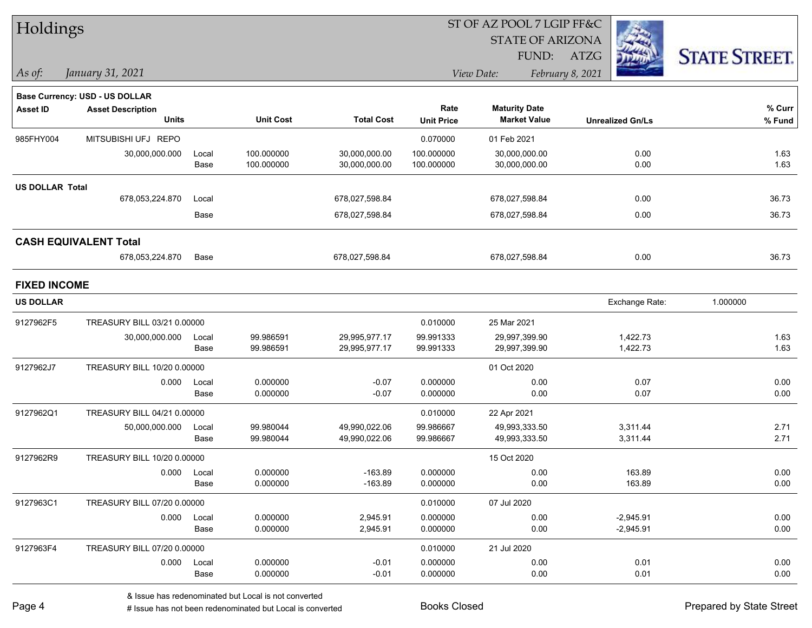| Holdings               |                                |       |                  |                   |                   | ST OF AZ POOL 7 LGIP FF&C |                  |                         |                      |
|------------------------|--------------------------------|-------|------------------|-------------------|-------------------|---------------------------|------------------|-------------------------|----------------------|
|                        |                                |       |                  |                   |                   | <b>STATE OF ARIZONA</b>   |                  |                         |                      |
|                        |                                |       |                  |                   |                   | FUND:                     | ATZG             |                         | <b>STATE STREET.</b> |
| $\vert$ As of:         | January 31, 2021               |       |                  |                   | View Date:        |                           | February 8, 2021 |                         |                      |
|                        | Base Currency: USD - US DOLLAR |       |                  |                   |                   |                           |                  |                         |                      |
| <b>Asset ID</b>        | <b>Asset Description</b>       |       |                  |                   | Rate              | <b>Maturity Date</b>      |                  |                         | % Curr               |
|                        | <b>Units</b>                   |       | <b>Unit Cost</b> | <b>Total Cost</b> | <b>Unit Price</b> | <b>Market Value</b>       |                  | <b>Unrealized Gn/Ls</b> | % Fund               |
| 985FHY004              | MITSUBISHI UFJ REPO            |       |                  |                   | 0.070000          | 01 Feb 2021               |                  |                         |                      |
|                        | 30,000,000.000                 | Local | 100.000000       | 30,000,000.00     | 100.000000        | 30,000,000.00             |                  | 0.00                    | 1.63                 |
|                        |                                | Base  | 100.000000       | 30,000,000.00     | 100.000000        | 30,000,000.00             |                  | 0.00                    | 1.63                 |
| <b>US DOLLAR Total</b> |                                |       |                  |                   |                   |                           |                  |                         |                      |
|                        | 678,053,224.870                | Local |                  | 678,027,598.84    |                   | 678,027,598.84            |                  | 0.00                    | 36.73                |
|                        |                                | Base  |                  | 678,027,598.84    |                   | 678,027,598.84            |                  | 0.00                    | 36.73                |
|                        | <b>CASH EQUIVALENT Total</b>   |       |                  |                   |                   |                           |                  |                         |                      |
|                        | 678,053,224.870                | Base  |                  | 678,027,598.84    |                   | 678,027,598.84            |                  | 0.00                    | 36.73                |
| <b>FIXED INCOME</b>    |                                |       |                  |                   |                   |                           |                  |                         |                      |
| <b>US DOLLAR</b>       |                                |       |                  |                   |                   |                           |                  | Exchange Rate:          | 1.000000             |
| 9127962F5              | TREASURY BILL 03/21 0.00000    |       |                  |                   | 0.010000          | 25 Mar 2021               |                  |                         |                      |
|                        | 30,000,000.000                 | Local | 99.986591        | 29,995,977.17     | 99.991333         | 29,997,399.90             |                  | 1,422.73                | 1.63                 |
|                        |                                | Base  | 99.986591        | 29,995,977.17     | 99.991333         | 29,997,399.90             |                  | 1,422.73                | 1.63                 |
| 9127962J7              | TREASURY BILL 10/20 0.00000    |       |                  |                   |                   | 01 Oct 2020               |                  |                         |                      |
|                        | 0.000                          | Local | 0.000000         | $-0.07$           | 0.000000          | 0.00                      |                  | 0.07                    | 0.00                 |
|                        |                                | Base  | 0.000000         | $-0.07$           | 0.000000          | 0.00                      |                  | 0.07                    | 0.00                 |
| 9127962Q1              | TREASURY BILL 04/21 0.00000    |       |                  |                   | 0.010000          | 22 Apr 2021               |                  |                         |                      |
|                        | 50,000,000.000                 | Local | 99.980044        | 49,990,022.06     | 99.986667         | 49,993,333.50             |                  | 3,311.44                | 2.71                 |
|                        |                                | Base  | 99.980044        | 49,990,022.06     | 99.986667         | 49,993,333.50             |                  | 3,311.44                | 2.71                 |
| 9127962R9              | TREASURY BILL 10/20 0.00000    |       |                  |                   |                   | 15 Oct 2020               |                  |                         |                      |
|                        | 0.000                          | Local | 0.000000         | $-163.89$         | 0.000000          | 0.00                      |                  | 163.89                  | 0.00                 |
|                        |                                | Base  | 0.000000         | $-163.89$         | 0.000000          | 0.00                      |                  | 163.89                  | 0.00                 |
| 9127963C1              | TREASURY BILL 07/20 0.00000    |       |                  |                   | 0.010000          | 07 Jul 2020               |                  |                         |                      |
|                        | 0.000                          | Local | 0.000000         | 2,945.91          | 0.000000          | 0.00                      |                  | $-2,945.91$             | 0.00                 |
|                        |                                | Base  | 0.000000         | 2,945.91          | 0.000000          | 0.00                      |                  | $-2,945.91$             | 0.00                 |
| 9127963F4              | TREASURY BILL 07/20 0.00000    |       |                  |                   | 0.010000          | 21 Jul 2020               |                  |                         |                      |
|                        | 0.000                          | Local | 0.000000         | $-0.01$           | 0.000000          | 0.00                      |                  | 0.01                    | 0.00                 |
|                        |                                | Base  | 0.000000         | $-0.01$           | 0.000000          | 0.00                      |                  | 0.01                    | 0.00                 |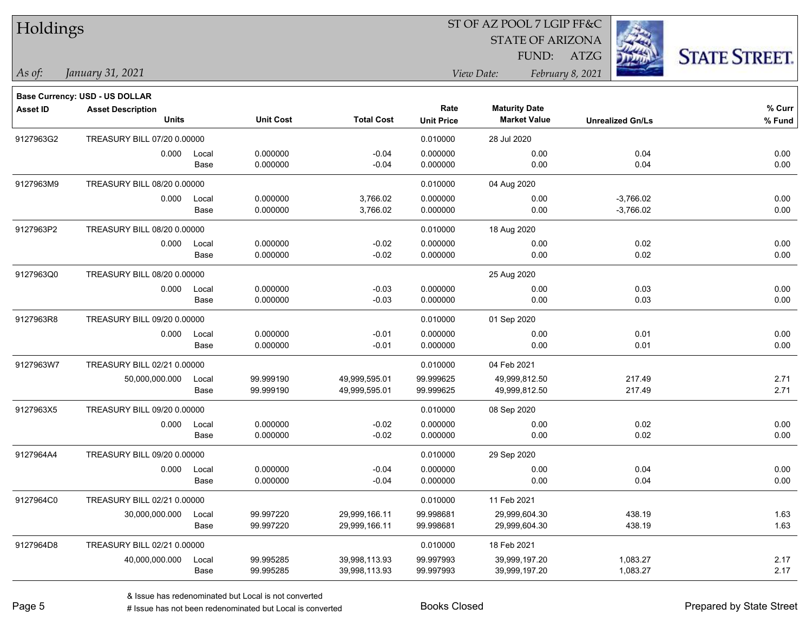| Holdings        |                                       |       |                  | ST OF AZ POOL 7 LGIP FF&C |                   |                         |                         |                      |  |  |
|-----------------|---------------------------------------|-------|------------------|---------------------------|-------------------|-------------------------|-------------------------|----------------------|--|--|
|                 |                                       |       |                  |                           |                   | <b>STATE OF ARIZONA</b> |                         |                      |  |  |
|                 |                                       |       |                  |                           |                   | FUND:                   | ATZG                    | <b>STATE STREET.</b> |  |  |
| As of:          | January 31, 2021                      |       |                  |                           |                   | View Date:              | February 8, 2021        |                      |  |  |
|                 | <b>Base Currency: USD - US DOLLAR</b> |       |                  |                           |                   |                         |                         |                      |  |  |
| <b>Asset ID</b> | <b>Asset Description</b>              |       |                  |                           | Rate              | <b>Maturity Date</b>    |                         | % Curr               |  |  |
|                 | Units                                 |       | <b>Unit Cost</b> | <b>Total Cost</b>         | <b>Unit Price</b> | <b>Market Value</b>     | <b>Unrealized Gn/Ls</b> | $%$ Fund             |  |  |
| 9127963G2       | TREASURY BILL 07/20 0.00000           |       |                  |                           | 0.010000          | 28 Jul 2020             |                         |                      |  |  |
|                 | 0.000                                 | Local | 0.000000         | $-0.04$                   | 0.000000          | 0.00                    | 0.04                    | 0.00                 |  |  |
|                 |                                       | Base  | 0.000000         | $-0.04$                   | 0.000000          | 0.00                    | 0.04                    | 0.00                 |  |  |
| 9127963M9       | TREASURY BILL 08/20 0.00000           |       |                  |                           | 0.010000          | 04 Aug 2020             |                         |                      |  |  |
|                 | 0.000                                 | Local | 0.000000         | 3,766.02                  | 0.000000          | 0.00                    | $-3,766.02$             | 0.00                 |  |  |
|                 |                                       | Base  | 0.000000         | 3,766.02                  | 0.000000          | 0.00                    | $-3,766.02$             | 0.00                 |  |  |
| 9127963P2       | TREASURY BILL 08/20 0.00000           |       |                  |                           | 0.010000          | 18 Aug 2020             |                         |                      |  |  |
|                 | 0.000                                 | Local | 0.000000         | $-0.02$                   | 0.000000          | 0.00                    | 0.02                    | 0.00                 |  |  |
|                 |                                       | Base  | 0.000000         | $-0.02$                   | 0.000000          | 0.00                    | 0.02                    | 0.00                 |  |  |
| 9127963Q0       | TREASURY BILL 08/20 0.00000           |       |                  |                           |                   | 25 Aug 2020             |                         |                      |  |  |
|                 | 0.000                                 | Local | 0.000000         | $-0.03$                   | 0.000000          | 0.00                    | 0.03                    | 0.00                 |  |  |
|                 |                                       | Base  | 0.000000         | $-0.03$                   | 0.000000          | 0.00                    | 0.03                    | 0.00                 |  |  |
| 9127963R8       | TREASURY BILL 09/20 0.00000           |       |                  |                           | 0.010000          | 01 Sep 2020             |                         |                      |  |  |
|                 | 0.000                                 | Local | 0.000000         | $-0.01$                   | 0.000000          | 0.00                    | 0.01                    | 0.00                 |  |  |
|                 |                                       | Base  | 0.000000         | $-0.01$                   | 0.000000          | 0.00                    | 0.01                    | 0.00                 |  |  |
| 9127963W7       | TREASURY BILL 02/21 0.00000           |       |                  |                           | 0.010000          | 04 Feb 2021             |                         |                      |  |  |
|                 | 50,000,000.000                        | Local | 99.999190        | 49,999,595.01             | 99.999625         | 49,999,812.50           | 217.49                  | 2.71                 |  |  |
|                 |                                       | Base  | 99.999190        | 49,999,595.01             | 99.999625         | 49,999,812.50           | 217.49                  | 2.71                 |  |  |
| 9127963X5       | TREASURY BILL 09/20 0.00000           |       |                  |                           | 0.010000          | 08 Sep 2020             |                         |                      |  |  |
|                 | 0.000                                 | Local | 0.000000         | $-0.02$                   | 0.000000          | 0.00                    | 0.02                    | 0.00                 |  |  |
|                 |                                       | Base  | 0.000000         | $-0.02$                   | 0.000000          | 0.00                    | 0.02                    | 0.00                 |  |  |
| 9127964A4       | TREASURY BILL 09/20 0.00000           |       |                  |                           | 0.010000          | 29 Sep 2020             |                         |                      |  |  |
|                 | 0.000                                 | Local | 0.000000         | $-0.04$                   | 0.000000          | 0.00                    | 0.04                    | 0.00                 |  |  |
|                 |                                       | Base  | 0.000000         | $-0.04$                   | 0.000000          | 0.00                    | 0.04                    | 0.00                 |  |  |
| 9127964C0       | TREASURY BILL 02/21 0.00000           |       |                  |                           | 0.010000          | 11 Feb 2021             |                         |                      |  |  |
|                 | 30,000,000.000                        | Local | 99.997220        | 29,999,166.11             | 99.998681         | 29,999,604.30           | 438.19                  | 1.63                 |  |  |
|                 |                                       | Base  | 99.997220        | 29,999,166.11             | 99.998681         | 29,999,604.30           | 438.19                  | 1.63                 |  |  |
| 9127964D8       | TREASURY BILL 02/21 0.00000           |       |                  |                           | 0.010000          | 18 Feb 2021             |                         |                      |  |  |
|                 | 40,000,000.000                        | Local | 99.995285        | 39,998,113.93             | 99.997993         | 39,999,197.20           | 1,083.27                | 2.17                 |  |  |
|                 |                                       | Base  | 99.995285        | 39,998,113.93             | 99.997993         | 39,999,197.20           | 1,083.27                | 2.17                 |  |  |

denote the redenominated but Local is converted Books Closed Prepared by State Street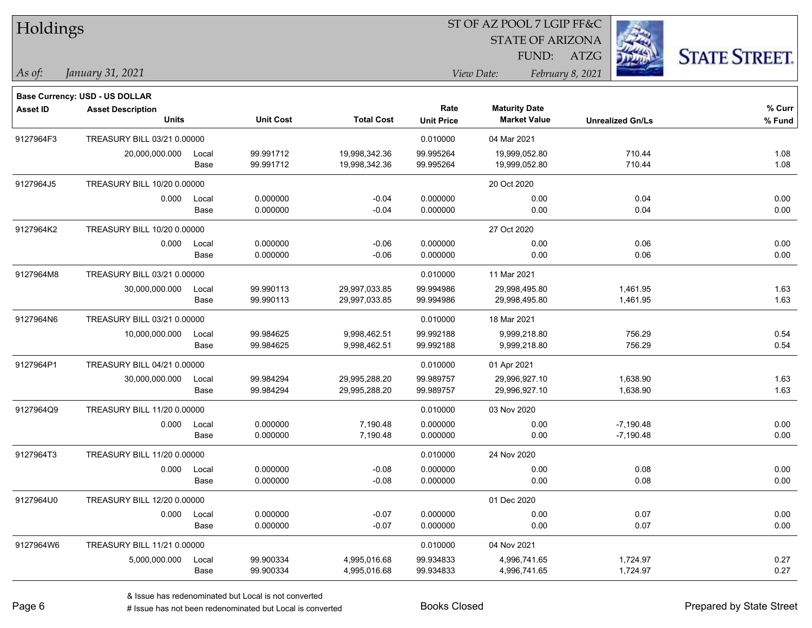| Holdings        |                                |       |                  | ST OF AZ POOL 7 LGIP FF&C |                   |                         |                         |                      |  |  |
|-----------------|--------------------------------|-------|------------------|---------------------------|-------------------|-------------------------|-------------------------|----------------------|--|--|
|                 |                                |       |                  |                           |                   | <b>STATE OF ARIZONA</b> |                         |                      |  |  |
|                 |                                |       |                  |                           |                   | FUND:                   | ATZG                    | <b>STATE STREET.</b> |  |  |
| As of:          | January 31, 2021               |       |                  |                           |                   | View Date:              | February 8, 2021        |                      |  |  |
|                 | Base Currency: USD - US DOLLAR |       |                  |                           |                   |                         |                         |                      |  |  |
| <b>Asset ID</b> | <b>Asset Description</b>       |       |                  |                           | Rate              | <b>Maturity Date</b>    |                         | % Curr               |  |  |
|                 | <b>Units</b>                   |       | <b>Unit Cost</b> | <b>Total Cost</b>         | <b>Unit Price</b> | <b>Market Value</b>     | <b>Unrealized Gn/Ls</b> | % Fund               |  |  |
| 9127964F3       | TREASURY BILL 03/21 0.00000    |       |                  |                           | 0.010000          | 04 Mar 2021             |                         |                      |  |  |
|                 | 20,000,000.000                 | Local | 99.991712        | 19,998,342.36             | 99.995264         | 19,999,052.80           | 710.44                  | 1.08                 |  |  |
|                 |                                | Base  | 99.991712        | 19,998,342.36             | 99.995264         | 19,999,052.80           | 710.44                  | 1.08                 |  |  |
| 9127964J5       | TREASURY BILL 10/20 0.00000    |       |                  |                           |                   | 20 Oct 2020             |                         |                      |  |  |
|                 | 0.000                          | Local | 0.000000         | $-0.04$                   | 0.000000          | 0.00                    | 0.04                    | 0.00                 |  |  |
|                 |                                | Base  | 0.000000         | $-0.04$                   | 0.000000          | 0.00                    | 0.04                    | 0.00                 |  |  |
| 9127964K2       | TREASURY BILL 10/20 0.00000    |       |                  |                           |                   | 27 Oct 2020             |                         |                      |  |  |
|                 | 0.000                          | Local | 0.000000         | $-0.06$                   | 0.000000          | 0.00                    | 0.06                    | 0.00                 |  |  |
|                 |                                | Base  | 0.000000         | $-0.06$                   | 0.000000          | 0.00                    | 0.06                    | 0.00                 |  |  |
| 9127964M8       | TREASURY BILL 03/21 0.00000    |       |                  |                           | 0.010000          | 11 Mar 2021             |                         |                      |  |  |
|                 | 30,000,000.000                 | Local | 99.990113        | 29,997,033.85             | 99.994986         | 29,998,495.80           | 1,461.95                | 1.63                 |  |  |
|                 |                                | Base  | 99.990113        | 29,997,033.85             | 99.994986         | 29,998,495.80           | 1,461.95                | 1.63                 |  |  |
| 9127964N6       | TREASURY BILL 03/21 0.00000    |       |                  |                           | 0.010000          | 18 Mar 2021             |                         |                      |  |  |
|                 | 10,000,000.000                 | Local | 99.984625        | 9,998,462.51              | 99.992188         | 9,999,218.80            | 756.29                  | 0.54                 |  |  |
|                 |                                | Base  | 99.984625        | 9,998,462.51              | 99.992188         | 9,999,218.80            | 756.29                  | 0.54                 |  |  |
| 9127964P1       | TREASURY BILL 04/21 0.00000    |       |                  |                           | 0.010000          | 01 Apr 2021             |                         |                      |  |  |
|                 | 30,000,000.000                 | Local | 99.984294        | 29,995,288.20             | 99.989757         | 29,996,927.10           | 1,638.90                | 1.63                 |  |  |
|                 |                                | Base  | 99.984294        | 29,995,288.20             | 99.989757         | 29,996,927.10           | 1,638.90                | 1.63                 |  |  |
| 9127964Q9       | TREASURY BILL 11/20 0.00000    |       |                  |                           | 0.010000          | 03 Nov 2020             |                         |                      |  |  |
|                 | 0.000                          | Local | 0.000000         | 7,190.48                  | 0.000000          | 0.00                    | $-7,190.48$             | 0.00                 |  |  |
|                 |                                | Base  | 0.000000         | 7,190.48                  | 0.000000          | 0.00                    | $-7,190.48$             | 0.00                 |  |  |
| 9127964T3       | TREASURY BILL 11/20 0.00000    |       |                  |                           | 0.010000          | 24 Nov 2020             |                         |                      |  |  |
|                 | 0.000                          | Local | 0.000000         | $-0.08$                   | 0.000000          | 0.00                    | 0.08                    | 0.00                 |  |  |
|                 |                                | Base  | 0.000000         | $-0.08$                   | 0.000000          | 0.00                    | 0.08                    | 0.00                 |  |  |
| 9127964U0       | TREASURY BILL 12/20 0.00000    |       |                  |                           |                   | 01 Dec 2020             |                         |                      |  |  |
|                 | 0.000                          | Local | 0.000000         | $-0.07$                   | 0.000000          | 0.00                    | 0.07                    | 0.00                 |  |  |
|                 |                                | Base  | 0.000000         | $-0.07$                   | 0.000000          | 0.00                    | 0.07                    | 0.00                 |  |  |
| 9127964W6       | TREASURY BILL 11/21 0.00000    |       |                  |                           | 0.010000          | 04 Nov 2021             |                         |                      |  |  |
|                 | 5,000,000.000                  | Local | 99.900334        | 4,995,016.68              | 99.934833         | 4,996,741.65            | 1,724.97                | 0.27                 |  |  |
|                 |                                | Base  | 99.900334        | 4,995,016.68              | 99.934833         | 4,996,741.65            | 1,724.97                | 0.27                 |  |  |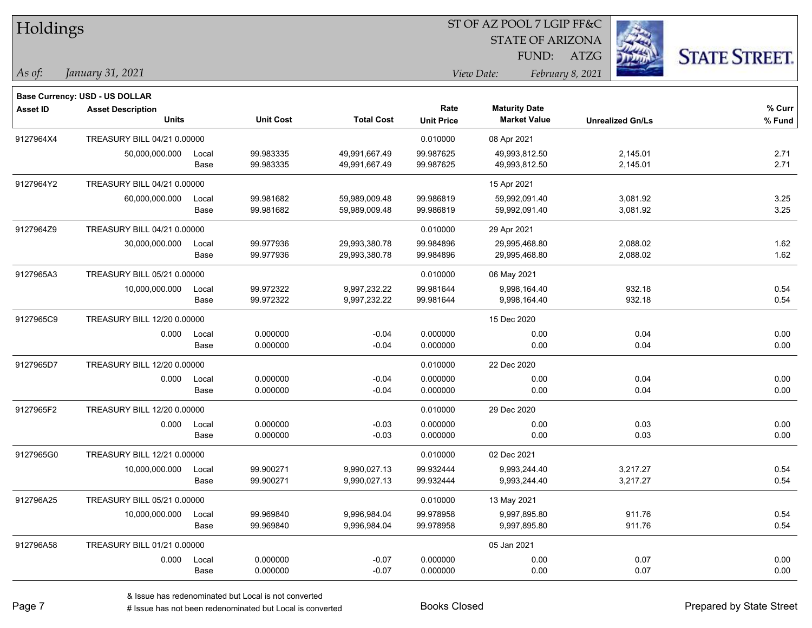| Holdings        |                                               |               |                        |                                | ST OF AZ POOL 7 LGIP FF&C |                                |                         |                      |  |  |
|-----------------|-----------------------------------------------|---------------|------------------------|--------------------------------|---------------------------|--------------------------------|-------------------------|----------------------|--|--|
|                 |                                               |               |                        |                                |                           | <b>STATE OF ARIZONA</b>        |                         |                      |  |  |
|                 |                                               |               |                        |                                |                           | FUND:                          | ATZG                    | <b>STATE STREET.</b> |  |  |
| As of:          | January 31, 2021                              |               |                        |                                |                           | View Date:                     | February 8, 2021        |                      |  |  |
|                 | <b>Base Currency: USD - US DOLLAR</b>         |               |                        |                                |                           |                                |                         |                      |  |  |
| <b>Asset ID</b> | <b>Asset Description</b>                      |               |                        |                                | Rate                      | <b>Maturity Date</b>           |                         | % Curr               |  |  |
|                 | <b>Units</b>                                  |               | <b>Unit Cost</b>       | <b>Total Cost</b>              | <b>Unit Price</b>         | <b>Market Value</b>            | <b>Unrealized Gn/Ls</b> | % Fund               |  |  |
| 9127964X4       | TREASURY BILL 04/21 0.00000                   |               |                        |                                | 0.010000                  | 08 Apr 2021                    |                         |                      |  |  |
|                 | 50,000,000.000                                | Local         | 99.983335              | 49,991,667.49                  | 99.987625                 | 49,993,812.50                  | 2,145.01                | 2.71                 |  |  |
|                 |                                               | Base          | 99.983335              | 49,991,667.49                  | 99.987625                 | 49,993,812.50                  | 2,145.01                | 2.71                 |  |  |
| 9127964Y2       | TREASURY BILL 04/21 0.00000                   |               |                        |                                |                           | 15 Apr 2021                    |                         |                      |  |  |
|                 | 60,000,000.000                                | Local<br>Base | 99.981682<br>99.981682 | 59,989,009.48<br>59,989,009.48 | 99.986819<br>99.986819    | 59,992,091.40<br>59,992,091.40 | 3,081.92<br>3,081.92    | 3.25<br>3.25         |  |  |
|                 |                                               |               |                        |                                |                           |                                |                         |                      |  |  |
| 9127964Z9       | TREASURY BILL 04/21 0.00000                   |               | 99.977936              |                                | 0.010000                  | 29 Apr 2021                    |                         |                      |  |  |
|                 | 30,000,000.000                                | Local<br>Base | 99.977936              | 29,993,380.78<br>29,993,380.78 | 99.984896<br>99.984896    | 29,995,468.80<br>29,995,468.80 | 2,088.02<br>2,088.02    | 1.62<br>1.62         |  |  |
| 9127965A3       | TREASURY BILL 05/21 0.00000                   |               |                        |                                | 0.010000                  | 06 May 2021                    |                         |                      |  |  |
|                 | 10,000,000.000                                | Local         | 99.972322              | 9,997,232.22                   | 99.981644                 | 9,998,164.40                   | 932.18                  | 0.54                 |  |  |
|                 |                                               | Base          | 99.972322              | 9,997,232.22                   | 99.981644                 | 9,998,164.40                   | 932.18                  | 0.54                 |  |  |
| 9127965C9       | TREASURY BILL 12/20 0.00000                   |               |                        |                                |                           | 15 Dec 2020                    |                         |                      |  |  |
|                 | 0.000                                         | Local         | 0.000000               | $-0.04$                        | 0.000000                  | 0.00                           | 0.04                    | 0.00                 |  |  |
|                 |                                               | Base          | 0.000000               | $-0.04$                        | 0.000000                  | 0.00                           | 0.04                    | 0.00                 |  |  |
| 9127965D7       | TREASURY BILL 12/20 0.00000                   |               |                        |                                | 0.010000                  | 22 Dec 2020                    |                         |                      |  |  |
|                 | 0.000                                         | Local         | 0.000000               | $-0.04$                        | 0.000000                  | 0.00                           | 0.04                    | 0.00                 |  |  |
|                 |                                               | Base          | 0.000000               | $-0.04$                        | 0.000000                  | 0.00                           | 0.04                    | 0.00                 |  |  |
| 9127965F2       | TREASURY BILL 12/20 0.00000                   |               |                        |                                | 0.010000                  | 29 Dec 2020                    |                         |                      |  |  |
|                 | 0.000                                         | Local<br>Base | 0.000000<br>0.000000   | $-0.03$<br>$-0.03$             | 0.000000<br>0.000000      | 0.00<br>0.00                   | 0.03<br>0.03            | 0.00<br>0.00         |  |  |
|                 |                                               |               |                        |                                |                           |                                |                         |                      |  |  |
| 9127965G0       | TREASURY BILL 12/21 0.00000<br>10,000,000.000 |               | 99.900271              | 9,990,027.13                   | 0.010000<br>99.932444     | 02 Dec 2021<br>9,993,244.40    | 3,217.27                | 0.54                 |  |  |
|                 |                                               | Local<br>Base | 99.900271              | 9,990,027.13                   | 99.932444                 | 9,993,244.40                   | 3,217.27                | 0.54                 |  |  |
| 912796A25       | TREASURY BILL 05/21 0.00000                   |               |                        |                                | 0.010000                  | 13 May 2021                    |                         |                      |  |  |
|                 | 10,000,000.000                                | Local         | 99.969840              | 9,996,984.04                   | 99.978958                 | 9,997,895.80                   | 911.76                  | 0.54                 |  |  |
|                 |                                               | Base          | 99.969840              | 9,996,984.04                   | 99.978958                 | 9,997,895.80                   | 911.76                  | 0.54                 |  |  |
| 912796A58       | TREASURY BILL 01/21 0.00000                   |               |                        |                                |                           | 05 Jan 2021                    |                         |                      |  |  |
|                 | 0.000                                         | Local         | 0.000000               | $-0.07$                        | 0.000000                  | 0.00                           | 0.07                    | 0.00                 |  |  |
|                 |                                               | Base          | 0.000000               | $-0.07$                        | 0.000000                  | 0.00                           | 0.07                    | 0.00                 |  |  |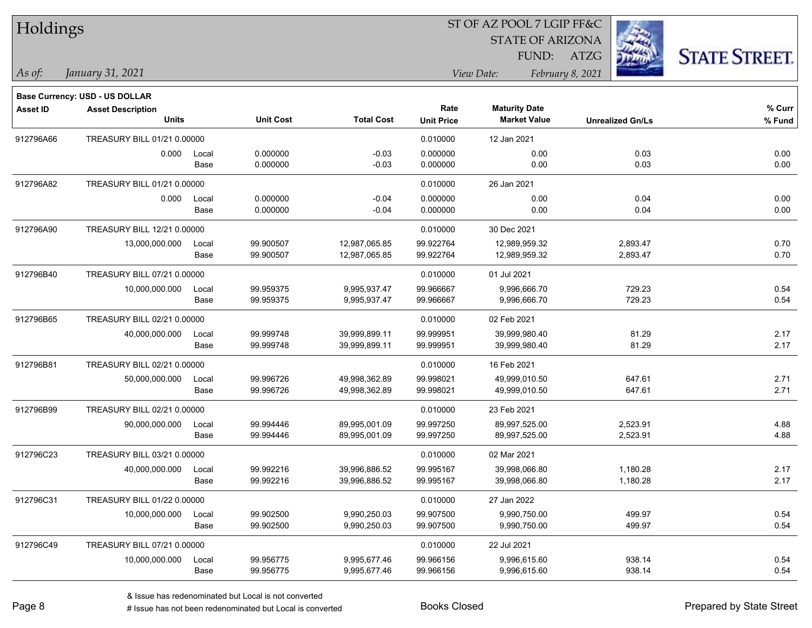| Holdings        |                                       |       |                  |                   |                   | ST OF AZ POOL 7 LGIP FF&C |                         |                      |  |  |
|-----------------|---------------------------------------|-------|------------------|-------------------|-------------------|---------------------------|-------------------------|----------------------|--|--|
|                 |                                       |       |                  |                   |                   | <b>STATE OF ARIZONA</b>   |                         |                      |  |  |
|                 |                                       |       |                  |                   |                   | FUND:                     | ATZG                    | <b>STATE STREET.</b> |  |  |
| $\vert$ As of:  | January 31, 2021                      |       |                  |                   |                   | View Date:                | February 8, 2021        |                      |  |  |
|                 | <b>Base Currency: USD - US DOLLAR</b> |       |                  |                   |                   |                           |                         |                      |  |  |
| <b>Asset ID</b> | <b>Asset Description</b>              |       |                  |                   | Rate              | <b>Maturity Date</b>      |                         | $%$ Curr             |  |  |
|                 | <b>Units</b>                          |       | <b>Unit Cost</b> | <b>Total Cost</b> | <b>Unit Price</b> | <b>Market Value</b>       | <b>Unrealized Gn/Ls</b> | % Fund               |  |  |
| 912796A66       | TREASURY BILL 01/21 0.00000           |       |                  |                   | 0.010000          | 12 Jan 2021               |                         |                      |  |  |
|                 | 0.000                                 | Local | 0.000000         | $-0.03$           | 0.000000          | 0.00                      | 0.03                    | 0.00                 |  |  |
|                 |                                       | Base  | 0.000000         | $-0.03$           | 0.000000          | 0.00                      | 0.03                    | 0.00                 |  |  |
| 912796A82       | TREASURY BILL 01/21 0.00000           |       |                  |                   | 0.010000          | 26 Jan 2021               |                         |                      |  |  |
|                 | 0.000                                 | Local | 0.000000         | $-0.04$           | 0.000000          | 0.00                      | 0.04                    | 0.00                 |  |  |
|                 |                                       | Base  | 0.000000         | $-0.04$           | 0.000000          | 0.00                      | 0.04                    | 0.00                 |  |  |
| 912796A90       | TREASURY BILL 12/21 0.00000           |       |                  |                   | 0.010000          | 30 Dec 2021               |                         |                      |  |  |
|                 | 13,000,000.000                        | Local | 99.900507        | 12,987,065.85     | 99.922764         | 12,989,959.32             | 2,893.47                | 0.70                 |  |  |
|                 |                                       | Base  | 99.900507        | 12,987,065.85     | 99.922764         | 12,989,959.32             | 2,893.47                | 0.70                 |  |  |
| 912796B40       | TREASURY BILL 07/21 0.00000           |       |                  |                   | 0.010000          | 01 Jul 2021               |                         |                      |  |  |
|                 | 10,000,000.000                        | Local | 99.959375        | 9,995,937.47      | 99.966667         | 9,996,666.70              | 729.23                  | 0.54                 |  |  |
|                 |                                       | Base  | 99.959375        | 9,995,937.47      | 99.966667         | 9,996,666.70              | 729.23                  | 0.54                 |  |  |
| 912796B65       | TREASURY BILL 02/21 0.00000           |       |                  |                   | 0.010000          | 02 Feb 2021               |                         |                      |  |  |
|                 | 40,000,000.000                        | Local | 99.999748        | 39,999,899.11     | 99.999951         | 39,999,980.40             | 81.29                   | 2.17                 |  |  |
|                 |                                       | Base  | 99.999748        | 39,999,899.11     | 99.999951         | 39,999,980.40             | 81.29                   | 2.17                 |  |  |
| 912796B81       | TREASURY BILL 02/21 0.00000           |       |                  |                   | 0.010000          | 16 Feb 2021               |                         |                      |  |  |
|                 | 50,000,000.000                        | Local | 99.996726        | 49,998,362.89     | 99.998021         | 49,999,010.50             | 647.61                  | 2.71                 |  |  |
|                 |                                       | Base  | 99.996726        | 49,998,362.89     | 99.998021         | 49,999,010.50             | 647.61                  | 2.71                 |  |  |
| 912796B99       | TREASURY BILL 02/21 0.00000           |       |                  |                   | 0.010000          | 23 Feb 2021               |                         |                      |  |  |
|                 | 90,000,000.000                        | Local | 99.994446        | 89,995,001.09     | 99.997250         | 89,997,525.00             | 2,523.91                | 4.88                 |  |  |
|                 |                                       | Base  | 99.994446        | 89,995,001.09     | 99.997250         | 89,997,525.00             | 2,523.91                | 4.88                 |  |  |
| 912796C23       | TREASURY BILL 03/21 0.00000           |       |                  |                   | 0.010000          | 02 Mar 2021               |                         |                      |  |  |
|                 | 40,000,000.000                        | Local | 99.992216        | 39.996.886.52     | 99.995167         | 39,998,066.80             | 1,180.28                | 2.17                 |  |  |
|                 |                                       | Base  | 99.992216        | 39,996,886.52     | 99.995167         | 39,998,066.80             | 1,180.28                | 2.17                 |  |  |
| 912796C31       | TREASURY BILL 01/22 0.00000           |       |                  |                   | 0.010000          | 27 Jan 2022               |                         |                      |  |  |
|                 | 10,000,000.000                        | Local | 99.902500        | 9,990,250.03      | 99.907500         | 9,990,750.00              | 499.97                  | 0.54                 |  |  |
|                 |                                       | Base  | 99.902500        | 9,990,250.03      | 99.907500         | 9,990,750.00              | 499.97                  | 0.54                 |  |  |
| 912796C49       | TREASURY BILL 07/21 0.00000           |       |                  |                   | 0.010000          | 22 Jul 2021               |                         |                      |  |  |
|                 | 10,000,000.000                        | Local | 99.956775        | 9,995,677.46      | 99.966156         | 9,996,615.60              | 938.14                  | 0.54                 |  |  |
|                 |                                       | Base  | 99.956775        | 9,995,677.46      | 99.966156         | 9,996,615.60              | 938.14                  | 0.54                 |  |  |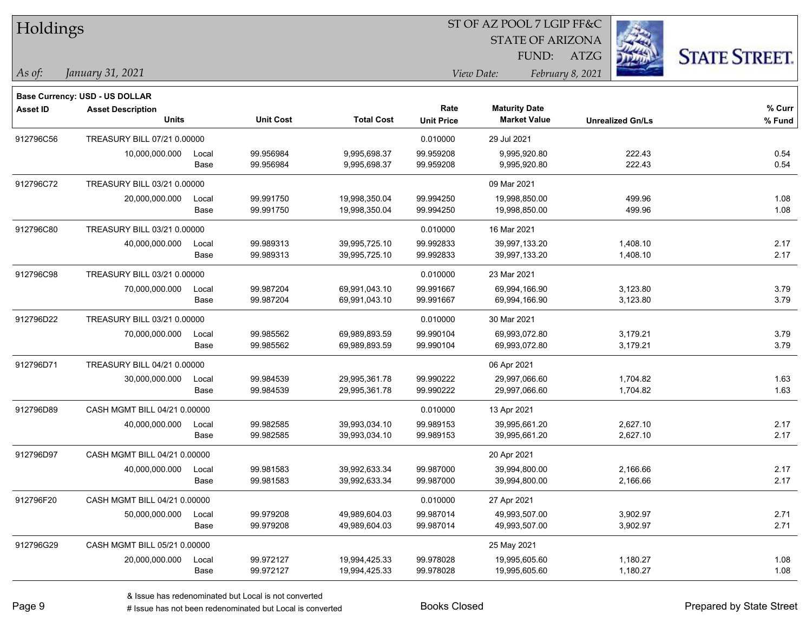| Holdings        |                                       |       |                  | ST OF AZ POOL 7 LGIP FF&C |                   |                         |                         |                      |  |  |
|-----------------|---------------------------------------|-------|------------------|---------------------------|-------------------|-------------------------|-------------------------|----------------------|--|--|
|                 |                                       |       |                  |                           |                   | <b>STATE OF ARIZONA</b> |                         |                      |  |  |
|                 |                                       |       |                  |                           |                   | FUND:                   | <b>ATZG</b>             | <b>STATE STREET.</b> |  |  |
| As of:          | January 31, 2021                      |       |                  |                           |                   | View Date:              | February 8, 2021        |                      |  |  |
|                 | <b>Base Currency: USD - US DOLLAR</b> |       |                  |                           |                   |                         |                         |                      |  |  |
| <b>Asset ID</b> | <b>Asset Description</b>              |       |                  |                           | Rate              | <b>Maturity Date</b>    |                         | % Curr               |  |  |
|                 | <b>Units</b>                          |       | <b>Unit Cost</b> | <b>Total Cost</b>         | <b>Unit Price</b> | <b>Market Value</b>     | <b>Unrealized Gn/Ls</b> | % Fund               |  |  |
| 912796C56       | TREASURY BILL 07/21 0.00000           |       |                  |                           | 0.010000          | 29 Jul 2021             |                         |                      |  |  |
|                 | 10,000,000.000                        | Local | 99.956984        | 9,995,698.37              | 99.959208         | 9,995,920.80            | 222.43                  | 0.54                 |  |  |
|                 |                                       | Base  | 99.956984        | 9,995,698.37              | 99.959208         | 9,995,920.80            | 222.43                  | 0.54                 |  |  |
| 912796C72       | TREASURY BILL 03/21 0.00000           |       |                  |                           |                   | 09 Mar 2021             |                         |                      |  |  |
|                 | 20,000,000.000                        | Local | 99.991750        | 19,998,350.04             | 99.994250         | 19,998,850.00           | 499.96                  | 1.08                 |  |  |
|                 |                                       | Base  | 99.991750        | 19,998,350.04             | 99.994250         | 19,998,850.00           | 499.96                  | 1.08                 |  |  |
| 912796C80       | TREASURY BILL 03/21 0.00000           |       |                  |                           | 0.010000          | 16 Mar 2021             |                         |                      |  |  |
|                 | 40,000,000.000                        | Local | 99.989313        | 39,995,725.10             | 99.992833         | 39,997,133.20           | 1,408.10                | 2.17                 |  |  |
|                 |                                       | Base  | 99.989313        | 39,995,725.10             | 99.992833         | 39,997,133.20           | 1,408.10                | 2.17                 |  |  |
| 912796C98       | TREASURY BILL 03/21 0.00000           |       |                  |                           | 0.010000          | 23 Mar 2021             |                         |                      |  |  |
|                 | 70,000,000.000                        | Local | 99.987204        | 69,991,043.10             | 99.991667         | 69,994,166.90           | 3,123.80                | 3.79                 |  |  |
|                 |                                       | Base  | 99.987204        | 69,991,043.10             | 99.991667         | 69,994,166.90           | 3,123.80                | 3.79                 |  |  |
| 912796D22       | TREASURY BILL 03/21 0.00000           |       |                  |                           | 0.010000          | 30 Mar 2021             |                         |                      |  |  |
|                 | 70,000,000.000                        | Local | 99.985562        | 69,989,893.59             | 99.990104         | 69,993,072.80           | 3,179.21                | 3.79                 |  |  |
|                 |                                       | Base  | 99.985562        | 69,989,893.59             | 99.990104         | 69,993,072.80           | 3,179.21                | 3.79                 |  |  |
| 912796D71       | TREASURY BILL 04/21 0.00000           |       |                  |                           |                   | 06 Apr 2021             |                         |                      |  |  |
|                 | 30,000,000.000                        | Local | 99.984539        | 29,995,361.78             | 99.990222         | 29,997,066.60           | 1,704.82                | 1.63                 |  |  |
|                 |                                       | Base  | 99.984539        | 29,995,361.78             | 99.990222         | 29,997,066.60           | 1,704.82                | 1.63                 |  |  |
| 912796D89       | CASH MGMT BILL 04/21 0.00000          |       |                  |                           | 0.010000          | 13 Apr 2021             |                         |                      |  |  |
|                 | 40,000,000.000                        | Local | 99.982585        | 39,993,034.10             | 99.989153         | 39,995,661.20           | 2,627.10                | 2.17                 |  |  |
|                 |                                       | Base  | 99.982585        | 39,993,034.10             | 99.989153         | 39,995,661.20           | 2,627.10                | 2.17                 |  |  |
| 912796D97       | CASH MGMT BILL 04/21 0.00000          |       |                  |                           |                   | 20 Apr 2021             |                         |                      |  |  |
|                 | 40,000,000.000                        | Local | 99.981583        | 39,992,633.34             | 99.987000         | 39,994,800.00           | 2,166.66                | 2.17                 |  |  |
|                 |                                       | Base  | 99.981583        | 39,992,633.34             | 99.987000         | 39,994,800.00           | 2,166.66                | 2.17                 |  |  |
| 912796F20       | CASH MGMT BILL 04/21 0.00000          |       |                  |                           | 0.010000          | 27 Apr 2021             |                         |                      |  |  |
|                 | 50,000,000.000                        | Local | 99.979208        | 49,989,604.03             | 99.987014         | 49,993,507.00           | 3,902.97                | 2.71                 |  |  |
|                 |                                       | Base  | 99.979208        | 49,989,604.03             | 99.987014         | 49,993,507.00           | 3,902.97                | 2.71                 |  |  |
| 912796G29       | CASH MGMT BILL 05/21 0.00000          |       |                  |                           |                   | 25 May 2021             |                         |                      |  |  |
|                 | 20,000,000.000                        | Local | 99.972127        | 19,994,425.33             | 99.978028         | 19,995,605.60           | 1,180.27                | 1.08                 |  |  |
|                 |                                       | Base  | 99.972127        | 19,994,425.33             | 99.978028         | 19,995,605.60           | 1,180.27                | 1.08                 |  |  |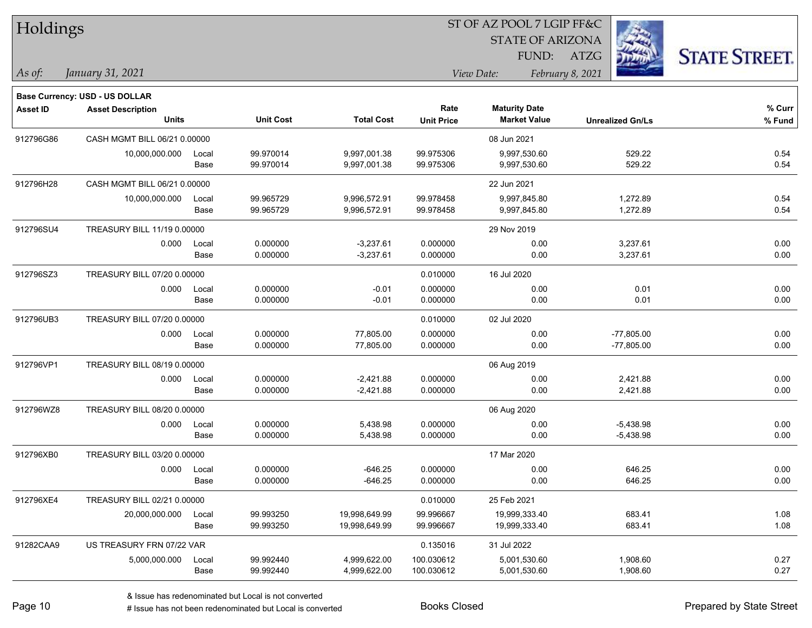| Holdings        |                                       |       |                  |                   |                   | ST OF AZ POOL 7 LGIP FF&C      |                         |                      |
|-----------------|---------------------------------------|-------|------------------|-------------------|-------------------|--------------------------------|-------------------------|----------------------|
|                 |                                       |       |                  |                   |                   | <b>STATE OF ARIZONA</b>        |                         |                      |
|                 |                                       |       |                  |                   |                   | FUND: ATZG                     |                         | <b>STATE STREET.</b> |
| As of:          | January 31, 2021                      |       |                  |                   |                   | View Date:<br>February 8, 2021 |                         |                      |
|                 | <b>Base Currency: USD - US DOLLAR</b> |       |                  |                   |                   |                                |                         |                      |
| <b>Asset ID</b> | <b>Asset Description</b>              |       |                  |                   | Rate              | <b>Maturity Date</b>           |                         | $%$ Curr             |
|                 | <b>Units</b>                          |       | <b>Unit Cost</b> | <b>Total Cost</b> | <b>Unit Price</b> | <b>Market Value</b>            | <b>Unrealized Gn/Ls</b> | % Fund               |
| 912796G86       | CASH MGMT BILL 06/21 0.00000          |       |                  |                   |                   | 08 Jun 2021                    |                         |                      |
|                 | 10,000,000.000                        | Local | 99.970014        | 9,997,001.38      | 99.975306         | 9,997,530.60                   | 529.22                  | 0.54                 |
|                 |                                       | Base  | 99.970014        | 9,997,001.38      | 99.975306         | 9,997,530.60                   | 529.22                  | 0.54                 |
| 912796H28       | CASH MGMT BILL 06/21 0.00000          |       |                  |                   |                   | 22 Jun 2021                    |                         |                      |
|                 | 10,000,000.000                        | Local | 99.965729        | 9,996,572.91      | 99.978458         | 9,997,845.80                   | 1,272.89                | 0.54                 |
|                 |                                       | Base  | 99.965729        | 9,996,572.91      | 99.978458         | 9,997,845.80                   | 1,272.89                | 0.54                 |
| 912796SU4       | TREASURY BILL 11/19 0.00000           |       |                  |                   |                   | 29 Nov 2019                    |                         |                      |
|                 | 0.000                                 | Local | 0.000000         | $-3,237.61$       | 0.000000          | 0.00                           | 3,237.61                | 0.00                 |
|                 |                                       | Base  | 0.000000         | $-3,237.61$       | 0.000000          | 0.00                           | 3,237.61                | 0.00                 |
| 912796SZ3       | TREASURY BILL 07/20 0.00000           |       |                  |                   | 0.010000          | 16 Jul 2020                    |                         |                      |
|                 | 0.000                                 | Local | 0.000000         | $-0.01$           | 0.000000          | 0.00                           | 0.01                    | 0.00                 |
|                 |                                       | Base  | 0.000000         | $-0.01$           | 0.000000          | 0.00                           | 0.01                    | 0.00                 |
| 912796UB3       | TREASURY BILL 07/20 0.00000           |       |                  |                   | 0.010000          | 02 Jul 2020                    |                         |                      |
|                 | 0.000                                 | Local | 0.000000         | 77,805.00         | 0.000000          | 0.00                           | $-77,805.00$            | 0.00                 |
|                 |                                       | Base  | 0.000000         | 77,805.00         | 0.000000          | 0.00                           | $-77,805.00$            | 0.00                 |
| 912796VP1       | TREASURY BILL 08/19 0.00000           |       |                  |                   |                   | 06 Aug 2019                    |                         |                      |
|                 | 0.000                                 | Local | 0.000000         | $-2,421.88$       | 0.000000          | 0.00                           | 2,421.88                | 0.00                 |
|                 |                                       | Base  | 0.000000         | $-2,421.88$       | 0.000000          | 0.00                           | 2,421.88                | 0.00                 |
| 912796WZ8       | TREASURY BILL 08/20 0.00000           |       |                  |                   |                   | 06 Aug 2020                    |                         |                      |
|                 | 0.000                                 | Local | 0.000000         | 5,438.98          | 0.000000          | 0.00                           | $-5,438.98$             | 0.00                 |
|                 |                                       | Base  | 0.000000         | 5,438.98          | 0.000000          | 0.00                           | $-5,438.98$             | 0.00                 |
| 912796XB0       | TREASURY BILL 03/20 0.00000           |       |                  |                   |                   | 17 Mar 2020                    |                         |                      |
|                 | 0.000                                 | Local | 0.000000         | $-646.25$         | 0.000000          | 0.00                           | 646.25                  | 0.00                 |
|                 |                                       | Base  | 0.000000         | $-646.25$         | 0.000000          | 0.00                           | 646.25                  | 0.00                 |
| 912796XE4       | TREASURY BILL 02/21 0.00000           |       |                  |                   | 0.010000          | 25 Feb 2021                    |                         |                      |
|                 | 20,000,000.000                        | Local | 99.993250        | 19,998,649.99     | 99.996667         | 19,999,333.40                  | 683.41                  | 1.08                 |
|                 |                                       | Base  | 99.993250        | 19,998,649.99     | 99.996667         | 19,999,333.40                  | 683.41                  | 1.08                 |
| 91282CAA9       | US TREASURY FRN 07/22 VAR             |       |                  |                   | 0.135016          | 31 Jul 2022                    |                         |                      |
|                 | 5,000,000.000                         | Local | 99.992440        | 4,999,622.00      | 100.030612        | 5,001,530.60                   | 1,908.60                | 0.27                 |
|                 |                                       | Base  | 99.992440        | 4,999,622.00      | 100.030612        | 5,001,530.60                   | 1,908.60                | 0.27                 |

٦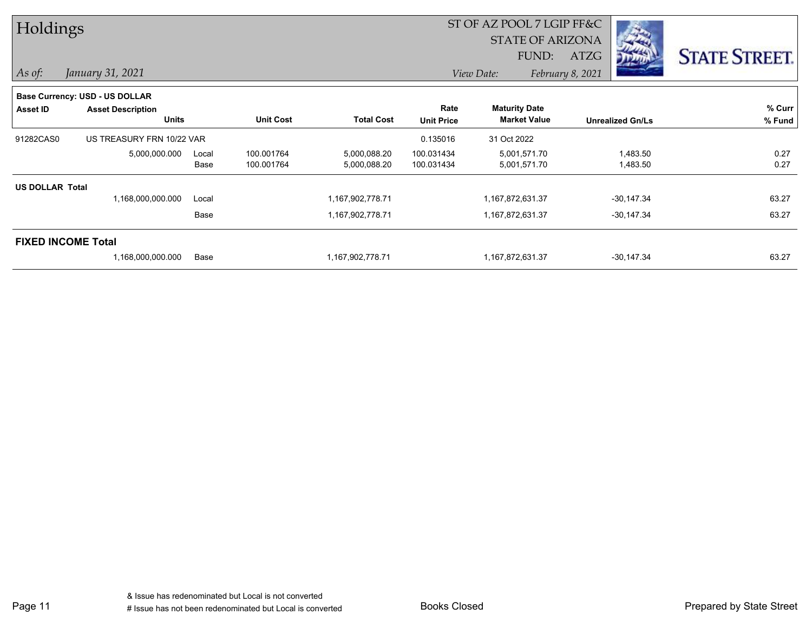| Holdings               |                                |       |                  |                   |                   | ST OF AZ POOL 7 LGIP FF&C |                  |                         |                      |
|------------------------|--------------------------------|-------|------------------|-------------------|-------------------|---------------------------|------------------|-------------------------|----------------------|
|                        |                                |       |                  |                   |                   |                           |                  |                         |                      |
|                        |                                |       |                  |                   |                   | FUND:                     | <b>ATZG</b>      |                         | <b>STATE STREET.</b> |
| $\vert$ As of:         | January 31, 2021               |       |                  |                   |                   | View Date:                | February 8, 2021 |                         |                      |
|                        | Base Currency: USD - US DOLLAR |       |                  |                   |                   |                           |                  |                         |                      |
| Asset ID               | <b>Asset Description</b>       |       |                  |                   | Rate              | <b>Maturity Date</b>      |                  |                         | % Curr               |
|                        | <b>Units</b>                   |       | <b>Unit Cost</b> | <b>Total Cost</b> | <b>Unit Price</b> | <b>Market Value</b>       |                  | <b>Unrealized Gn/Ls</b> | % Fund               |
| 91282CAS0              | US TREASURY FRN 10/22 VAR      |       |                  |                   | 0.135016          | 31 Oct 2022               |                  |                         |                      |
|                        | 5,000,000.000                  | Local | 100.001764       | 5,000,088.20      | 100.031434        | 5,001,571.70              |                  | 1,483.50                | 0.27                 |
|                        |                                | Base  | 100.001764       | 5,000,088.20      | 100.031434        | 5,001,571.70              |                  | 1,483.50                | 0.27                 |
| <b>US DOLLAR Total</b> |                                |       |                  |                   |                   |                           |                  |                         |                      |
|                        | 1,168,000,000.000              | Local |                  | 1,167,902,778.71  |                   | 1,167,872,631.37          |                  | $-30,147.34$            | 63.27                |
|                        |                                | Base  |                  | 1,167,902,778.71  |                   | 1,167,872,631.37          |                  | $-30,147.34$            | 63.27                |
|                        | <b>FIXED INCOME Total</b>      |       |                  |                   |                   |                           |                  |                         |                      |
|                        | 1,168,000,000.000              | Base  |                  | 1,167,902,778.71  |                   | 1,167,872,631.37          |                  | $-30,147.34$            | 63.27                |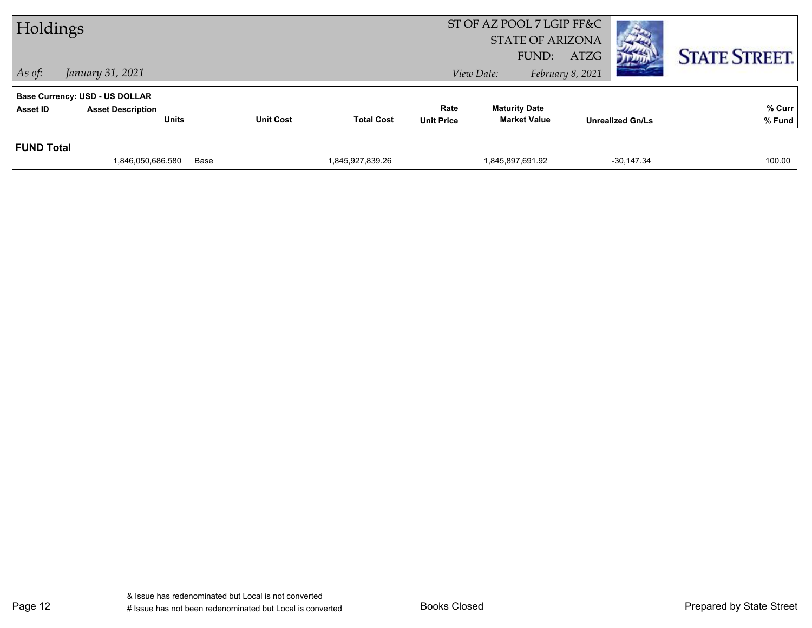| Holdings          |                                                                                   |                  |                   |                           | ST OF AZ POOL 7 LGIP FF&C<br><b>STATE OF ARIZONA</b><br>FUND: | <b>ATZG</b>             |              | <b>STATE STREET.</b> |
|-------------------|-----------------------------------------------------------------------------------|------------------|-------------------|---------------------------|---------------------------------------------------------------|-------------------------|--------------|----------------------|
| $\vert$ As of:    | January 31, 2021                                                                  |                  |                   |                           | View Date:                                                    | February 8, 2021        |              |                      |
| Asset ID          | <b>Base Currency: USD - US DOLLAR</b><br><b>Asset Description</b><br><b>Units</b> | <b>Unit Cost</b> | <b>Total Cost</b> | Rate<br><b>Unit Price</b> | <b>Maturity Date</b><br><b>Market Value</b>                   | <b>Unrealized Gn/Ls</b> |              | % Curr<br>% Fund     |
| <b>FUND Total</b> |                                                                                   |                  |                   |                           |                                                               |                         |              |                      |
|                   | 1,846,050,686.580                                                                 | Base             | 1,845,927,839.26  |                           | 1,845,897,691.92                                              |                         | $-30,147.34$ | 100.00               |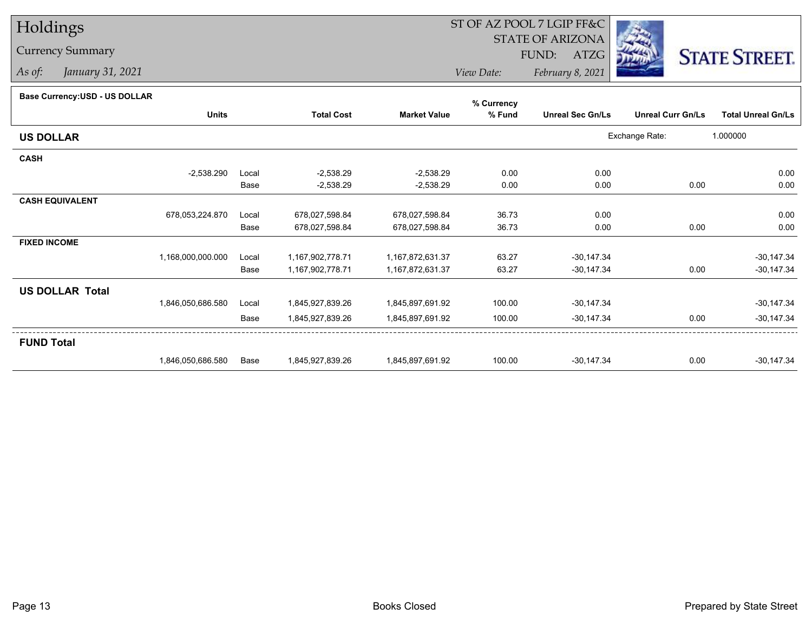## Holdings

## Currency Summary

*As of: January 31, 2021*

## ST OF AZ POOL 7 LGIP FF&C

STATE OF ARIZONA

FUND: ATZG



*View Date:February 8, 2021*

## **Base Currency:USD - US DOLLAR**

|                        | <b>Units</b>      |       | <b>Total Cost</b> | <b>Market Value</b> | % Fund | <b>Unreal Sec Gn/Ls</b> | <b>Unreal Curr Gn/Ls</b> | <b>Total Unreal Gn/Ls</b> |
|------------------------|-------------------|-------|-------------------|---------------------|--------|-------------------------|--------------------------|---------------------------|
| <b>US DOLLAR</b>       |                   |       |                   |                     |        |                         | Exchange Rate:           | 1.000000                  |
| <b>CASH</b>            |                   |       |                   |                     |        |                         |                          |                           |
|                        | $-2,538.290$      | Local | $-2,538.29$       | $-2,538.29$         | 0.00   | 0.00                    |                          | 0.00                      |
|                        |                   | Base  | $-2,538.29$       | $-2,538.29$         | 0.00   | 0.00                    | 0.00                     | 0.00                      |
| <b>CASH EQUIVALENT</b> |                   |       |                   |                     |        |                         |                          |                           |
|                        | 678,053,224.870   | Local | 678,027,598.84    | 678,027,598.84      | 36.73  | 0.00                    |                          | 0.00                      |
|                        |                   | Base  | 678,027,598.84    | 678,027,598.84      | 36.73  | 0.00                    | 0.00                     | 0.00                      |
| <b>FIXED INCOME</b>    |                   |       |                   |                     |        |                         |                          |                           |
|                        | 1,168,000,000.000 | Local | 1,167,902,778.71  | 1,167,872,631.37    | 63.27  | $-30,147.34$            |                          | $-30,147.34$              |
|                        |                   | Base  | 1,167,902,778.71  | 1,167,872,631.37    | 63.27  | $-30,147.34$            | 0.00                     | $-30,147.34$              |
| <b>US DOLLAR Total</b> |                   |       |                   |                     |        |                         |                          |                           |
|                        | 1,846,050,686.580 | Local | 1,845,927,839.26  | 1,845,897,691.92    | 100.00 | $-30,147.34$            |                          | $-30,147.34$              |
|                        |                   | Base  | 1,845,927,839.26  | 1,845,897,691.92    | 100.00 | $-30,147.34$            | 0.00                     | $-30,147.34$              |
| <b>FUND Total</b>      |                   |       |                   |                     |        |                         |                          |                           |
|                        | 1,846,050,686.580 | Base  | 1,845,927,839.26  | 1,845,897,691.92    | 100.00 | $-30,147.34$            | 0.00                     | $-30,147.34$              |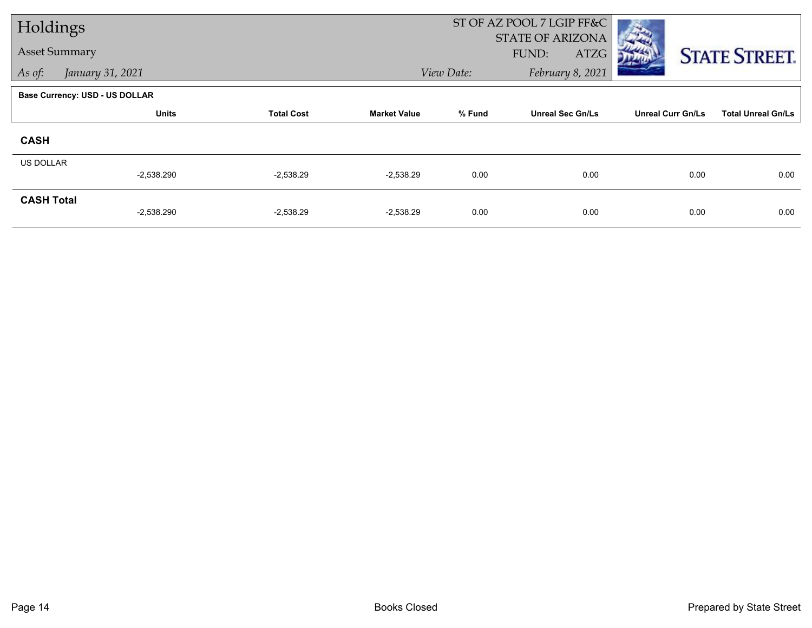| Holdings             |                                |                   |                     | ST OF AZ POOL 7 LGIP FF&C |                         |                          |                           |
|----------------------|--------------------------------|-------------------|---------------------|---------------------------|-------------------------|--------------------------|---------------------------|
|                      |                                |                   |                     |                           | STATE OF ARIZONA        |                          |                           |
| <b>Asset Summary</b> |                                |                   |                     |                           | FUND:<br>ATZG           |                          | <b>STATE STREET.</b>      |
| As of:               | January 31, 2021               |                   |                     | View Date:                | February 8, 2021        |                          |                           |
|                      | Base Currency: USD - US DOLLAR |                   |                     |                           |                         |                          |                           |
|                      | <b>Units</b>                   | <b>Total Cost</b> | <b>Market Value</b> | % Fund                    | <b>Unreal Sec Gn/Ls</b> | <b>Unreal Curr Gn/Ls</b> | <b>Total Unreal Gn/Ls</b> |
| <b>CASH</b>          |                                |                   |                     |                           |                         |                          |                           |
| <b>US DOLLAR</b>     |                                |                   |                     |                           |                         |                          |                           |
|                      | $-2,538.290$                   | $-2,538.29$       | $-2,538.29$         | 0.00                      | 0.00                    | 0.00                     | 0.00                      |
| <b>CASH Total</b>    |                                |                   |                     |                           |                         |                          |                           |
|                      | $-2,538.290$                   | $-2,538.29$       | $-2,538.29$         | 0.00                      | 0.00                    | 0.00                     | 0.00                      |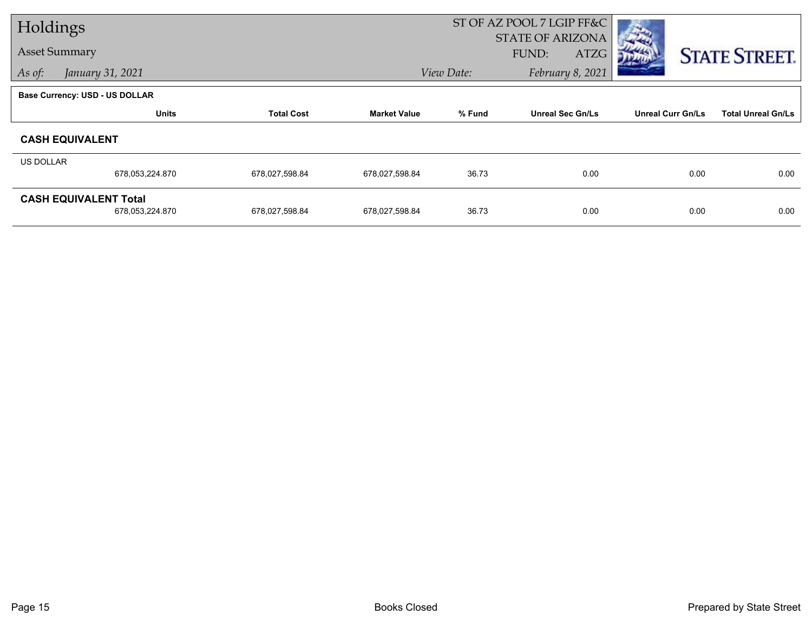| Holdings                              |                 |                   |                     | ST OF AZ POOL 7 LGIP FF&C      |                         |      |                          |      |                           |
|---------------------------------------|-----------------|-------------------|---------------------|--------------------------------|-------------------------|------|--------------------------|------|---------------------------|
|                                       |                 |                   |                     |                                | <b>STATE OF ARIZONA</b> |      |                          |      |                           |
| <b>Asset Summary</b>                  |                 |                   |                     |                                | FUND:                   | ATZG |                          |      | <b>STATE STREET.</b>      |
| January 31, 2021<br>As of:            |                 |                   |                     | February 8, 2021<br>View Date: |                         |      |                          |      |                           |
| <b>Base Currency: USD - US DOLLAR</b> |                 |                   |                     |                                |                         |      |                          |      |                           |
|                                       | <b>Units</b>    | <b>Total Cost</b> | <b>Market Value</b> | % Fund                         | <b>Unreal Sec Gn/Ls</b> |      | <b>Unreal Curr Gn/Ls</b> |      | <b>Total Unreal Gn/Ls</b> |
| <b>CASH EQUIVALENT</b>                |                 |                   |                     |                                |                         |      |                          |      |                           |
| US DOLLAR                             |                 |                   |                     |                                |                         |      |                          |      |                           |
|                                       | 678,053,224.870 | 678,027,598.84    | 678,027,598.84      | 36.73                          |                         | 0.00 |                          | 0.00 | 0.00                      |
| <b>CASH EQUIVALENT Total</b>          |                 |                   |                     |                                |                         |      |                          |      |                           |
|                                       | 678,053,224.870 | 678,027,598.84    | 678,027,598.84      | 36.73                          |                         | 0.00 |                          | 0.00 | 0.00                      |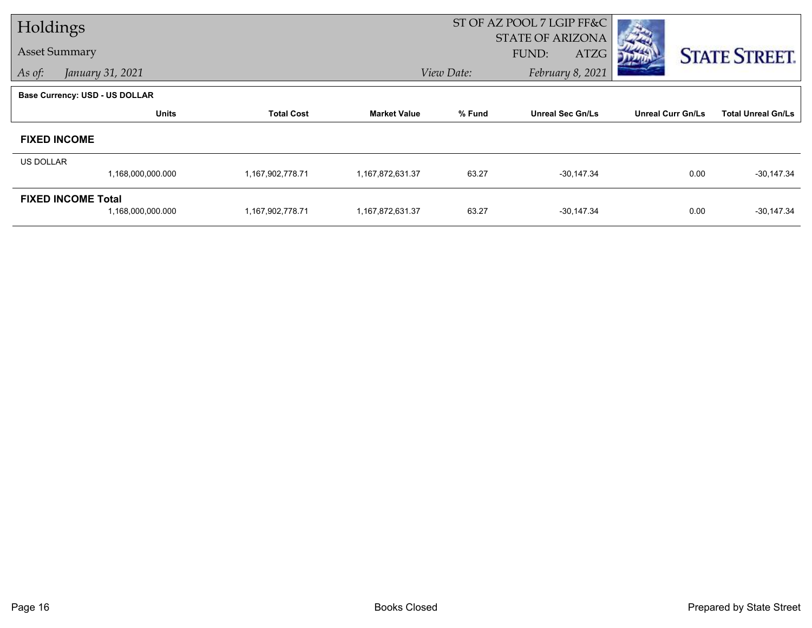| Holdings  |                                |                   |                     |        | ST OF AZ POOL 7 LGIP FF&C |                          |                           |
|-----------|--------------------------------|-------------------|---------------------|--------|---------------------------|--------------------------|---------------------------|
|           |                                |                   |                     |        | STATE OF ARIZONA          |                          |                           |
|           | <b>Asset Summary</b>           |                   |                     |        | FUND:<br>ATZG             |                          | <b>STATE STREET.</b>      |
| As of:    | View Date:<br>January 31, 2021 |                   |                     |        | February 8, 2021          |                          |                           |
|           | Base Currency: USD - US DOLLAR |                   |                     |        |                           |                          |                           |
|           | <b>Units</b>                   | <b>Total Cost</b> | <b>Market Value</b> | % Fund | <b>Unreal Sec Gn/Ls</b>   | <b>Unreal Curr Gn/Ls</b> | <b>Total Unreal Gn/Ls</b> |
|           | <b>FIXED INCOME</b>            |                   |                     |        |                           |                          |                           |
| US DOLLAR |                                |                   |                     |        |                           |                          |                           |
|           | 1,168,000,000.000              | 1,167,902,778.71  | 1,167,872,631.37    | 63.27  | $-30,147.34$              | 0.00                     | $-30,147.34$              |
|           | <b>FIXED INCOME Total</b>      |                   |                     |        |                           |                          |                           |
|           | 1,168,000,000.000              | 1,167,902,778.71  | 1,167,872,631.37    | 63.27  | $-30,147.34$              | 0.00                     | $-30,147.34$              |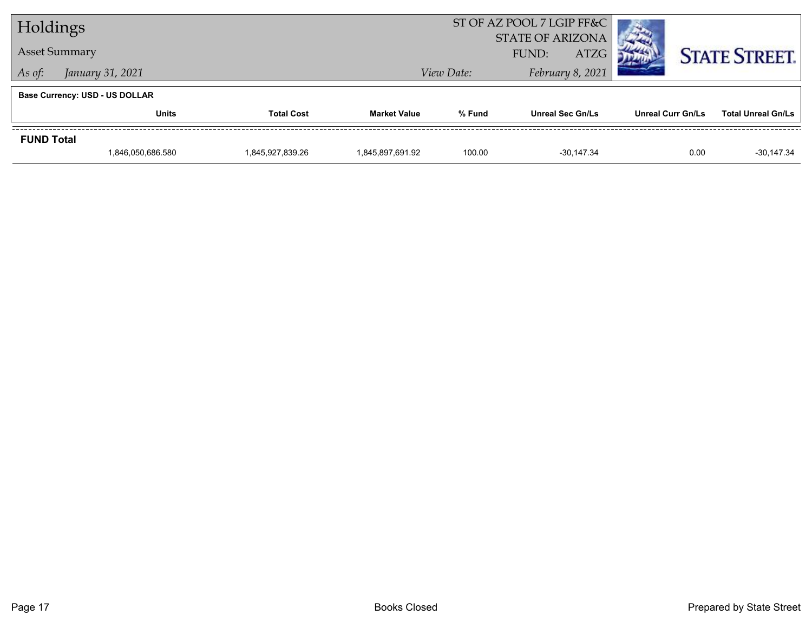| Holdings             |                                       |                  |                     |                      | ST OF AZ POOL 7 LGIP FF&C |                          |                           |
|----------------------|---------------------------------------|------------------|---------------------|----------------------|---------------------------|--------------------------|---------------------------|
| <b>Asset Summary</b> |                                       |                  |                     |                      | <b>STATE OF ARIZONA</b>   |                          |                           |
|                      |                                       |                  |                     | <b>ATZG</b><br>FUND: |                           |                          | <b>STATE STREET.</b>      |
|                      | January 31, 2021<br>As of:            |                  |                     | View Date:           | February 8, 2021          |                          |                           |
|                      | <b>Base Currency: USD - US DOLLAR</b> |                  |                     |                      |                           |                          |                           |
|                      | <b>Units</b><br><b>Total Cost</b>     |                  | <b>Market Value</b> | % Fund               | <b>Unreal Sec Gn/Ls</b>   | <b>Unreal Curr Gn/Ls</b> | <b>Total Unreal Gn/Ls</b> |
| <b>FUND Total</b>    |                                       |                  |                     |                      |                           |                          |                           |
|                      | 1,846,050,686.580                     | 1.845.927.839.26 | 1.845.897.691.92    | 100.00               | $-30.147.34$              | 0.00                     | $-30,147.34$              |